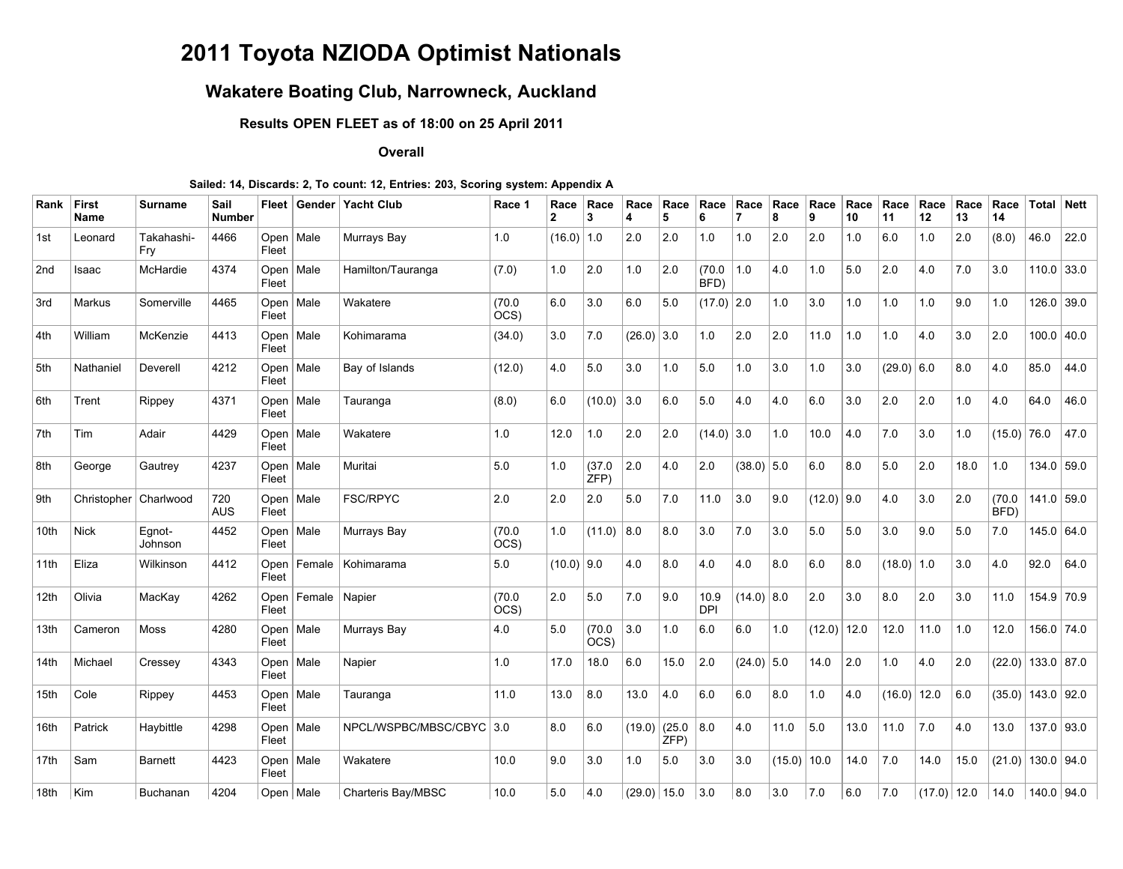# **2011 Toyota NZIODA Optimist Nationals**

## **Wakatere Boating Club, Narrowneck, Auckland**

**Results OPEN FLEET as of 18:00 on 25 April 2011**

#### **Overall**

#### **Sailed: 14, Discards: 2, To count: 12, Entries: 203, Scoring system: Appendix A**

| Rank             | First<br>Name           | <b>Surname</b>    | Sail<br><b>Number</b> |               |                 | Fleet   Gender   Yacht Club | Race 1         | Race<br>2    | Race<br>3     | Race<br>4     | Race<br>5     | Race<br>6          | Race         | Race<br>8 | Race<br>9     | Race<br>10 | Race<br>11   | Race<br>12    | Race<br>13 | Race<br>14     |                     | <b>Total Nett</b> |
|------------------|-------------------------|-------------------|-----------------------|---------------|-----------------|-----------------------------|----------------|--------------|---------------|---------------|---------------|--------------------|--------------|-----------|---------------|------------|--------------|---------------|------------|----------------|---------------------|-------------------|
| 1st              | Leonard                 | Takahashi-<br>Fry | 4466                  | Fleet         | Open   Male     | Murrays Bay                 | 1.0            | (16.0)       | 1.0           | 2.0           | 2.0           | 1.0                | 1.0          | 2.0       | 2.0           | 1.0        | 6.0          | 1.0           | 2.0        | (8.0)          | 46.0                | 22.0              |
| 2 <sub>nd</sub>  | Isaac                   | McHardie          | 4374                  | Open<br>Fleet | Male            | Hamilton/Tauranga           | (7.0)          | 1.0          | 2.0           | 1.0           | 2.0           | (70.0)<br>BFD)     | 1.0          | 4.0       | 1.0           | 5.0        | 2.0          | 4.0           | 7.0        | 3.0            |                     | $110.0$ 33.0      |
| 3rd              | Markus                  | Somerville        | 4465                  | Open<br>Fleet | Male            | Wakatere                    | (70.0)<br>OCS) | 6.0          | $3.0\,$       | 6.0           | 5.0           | $(17.0)$ 2.0       |              | 1.0       | 3.0           | 1.0        | 1.0          | 1.0           | 9.0        | 1.0            |                     | 126.0 39.0        |
| 4th              | William                 | McKenzie          | 4413                  | Open<br>Fleet | Male            | Kohimarama                  | (34.0)         | 3.0          | 7.0           | (26.0)        | 3.0           | 1.0                | 2.0          | 2.0       | 11.0          | 1.0        | 1.0          | 4.0           | 3.0        | 2.0            |                     | 100.0   40.0      |
| 5th              | Nathaniel               | Deverell          | 4212                  | Open<br>Fleet | Male            | Bay of Islands              | (12.0)         | 4.0          | 5.0           | 3.0           | 1.0           | 5.0                | 1.0          | 3.0       | 1.0           | 3.0        | $(29.0)$ 6.0 |               | 8.0        | 4.0            | 85.0                | 44.0              |
| 6th              | Trent                   | Rippey            | 4371                  | Open<br>Fleet | Male            | Tauranga                    | (8.0)          | 6.0          | (10.0)        | 3.0           | 6.0           | 5.0                | 4.0          | 4.0       | 6.0           | 3.0        | 2.0          | 2.0           | 1.0        | 4.0            | 64.0                | 46.0              |
| 7th              | Tim                     | Adair             | 4429                  | Open<br>Fleet | Male            | Wakatere                    | 1.0            | 12.0         | 1.0           | 2.0           | 2.0           | $(14.0)$ 3.0       |              | 1.0       | 10.0          | 4.0        | 7.0          | 3.0           | 1.0        | $(15.0)$ 76.0  |                     | 47.0              |
| 8th              | George                  | Gautrey           | 4237                  | Open<br>Fleet | Male            | Muritai                     | 5.0            | 1.0          | (37.0)<br>ZFP | 2.0           | 4.0           | 2.0                | $(38.0)$ 5.0 |           | 6.0           | 8.0        | 5.0          | 2.0           | 18.0       | 1.0            |                     | $134.0$ 59.0      |
| 9th              | Christopher   Charlwood |                   | 720<br><b>AUS</b>     | Open<br>Fleet | Male            | <b>FSC/RPYC</b>             | 2.0            | 2.0          | 2.0           | 5.0           | 7.0           | 11.0               | 3.0          | 9.0       | $(12.0)$ 9.0  |            | 4.0          | 3.0           | 2.0        | (70.0)<br>BFD) |                     | $141.0$ 59.0      |
| 10 <sub>th</sub> | <b>Nick</b>             | Egnot-<br>Johnson | 4452                  | Open<br>Fleet | Male            | Murrays Bay                 | (70.0)<br>OCS) | 1.0          | (11.0)        | 8.0           | 8.0           | 3.0                | 7.0          | 3.0       | 5.0           | 5.0        | 3.0          | 9.0           | 5.0        | 7.0            |                     | 145.0   64.0      |
| 11th             | Eliza                   | Wilkinson         | 4412                  | Open<br>Fleet |                 | Female   Kohimarama         | 5.0            | $(10.0)$ 9.0 |               | 4.0           | 8.0           | 4.0                | 4.0          | 8.0       | 6.0           | 8.0        | $(18.0)$ 1.0 |               | 3.0        | 4.0            | 92.0                | 64.0              |
| 12 <sub>th</sub> | Olivia                  | MacKay            | 4262                  | Open<br>Fleet | Female   Napier |                             | (70.0)<br>OCS  | 2.0          | 5.0           | 7.0           | 9.0           | 10.9<br><b>DPI</b> | $(14.0)$ 8.0 |           | 2.0           | 3.0        | 8.0          | 2.0           | 3.0        | 11.0           |                     | 154.9 70.9        |
| 13th             | Cameron                 | <b>Moss</b>       | 4280                  | Open<br>Fleet | Male            | Murrays Bay                 | 4.0            | 5.0          | (70.0)<br>OCS | 3.0           | 1.0           | 6.0                | 6.0          | 1.0       | $(12.0)$ 12.0 |            | 12.0         | 11.0          | 1.0        | 12.0           |                     | 156.0 74.0        |
| 14th             | Michael                 | Cressey           | 4343                  | Open<br>Fleet | Male            | Napier                      | 1.0            | 17.0         | 18.0          | 6.0           | 15.0          | 2.0                | $(24.0)$ 5.0 |           | 14.0          | 2.0        | 1.0          | 4.0           | 2.0        |                | $(22.0)$ 133.0 87.0 |                   |
| 15th             | Cole                    | Rippey            | 4453                  | Open<br>Fleet | Male            | Tauranga                    | 11.0           | 13.0         | 8.0           | 13.0          | 4.0           | 6.0                | $6.0\,$      | 8.0       | 1.0           | 4.0        | (16.0)       | 12.0          | 6.0        |                | $(35.0)$ 143.0 92.0 |                   |
| 16th             | Patrick                 | Haybittle         | 4298                  | Open<br>Fleet | Male            | NPCL/WSPBC/MBSC/CBYC 3.0    |                | 8.0          | 6.0           | (19.0)        | (25.0)<br>ZFP | 8.0                | 4.0          | 11.0      | 5.0           | 13.0       | 11.0         | 7.0           | 4.0        | 13.0           |                     | 137.0 93.0        |
| 17 <sub>th</sub> | Sam                     | <b>Barnett</b>    | 4423                  | Open<br>Fleet | Male            | Wakatere                    | 10.0           | 9.0          | 3.0           | 1.0           | 5.0           | 3.0                | 3.0          | (15.0)    | 10.0          | 14.0       | 7.0          | 14.0          | 15.0       | (21.0)         |                     | $130.0$ 94.0      |
| 18th             | Kim                     | Buchanan          | 4204                  |               | Open   Male     | Charteris Bay/MBSC          | 10.0           | 5.0          | 4.0           | $(29.0)$ 15.0 |               | 3.0                | 8.0          | 3.0       | 7.0           | 6.0        | 7.0          | $(17.0)$ 12.0 |            | 14.0           |                     | 140.0 94.0        |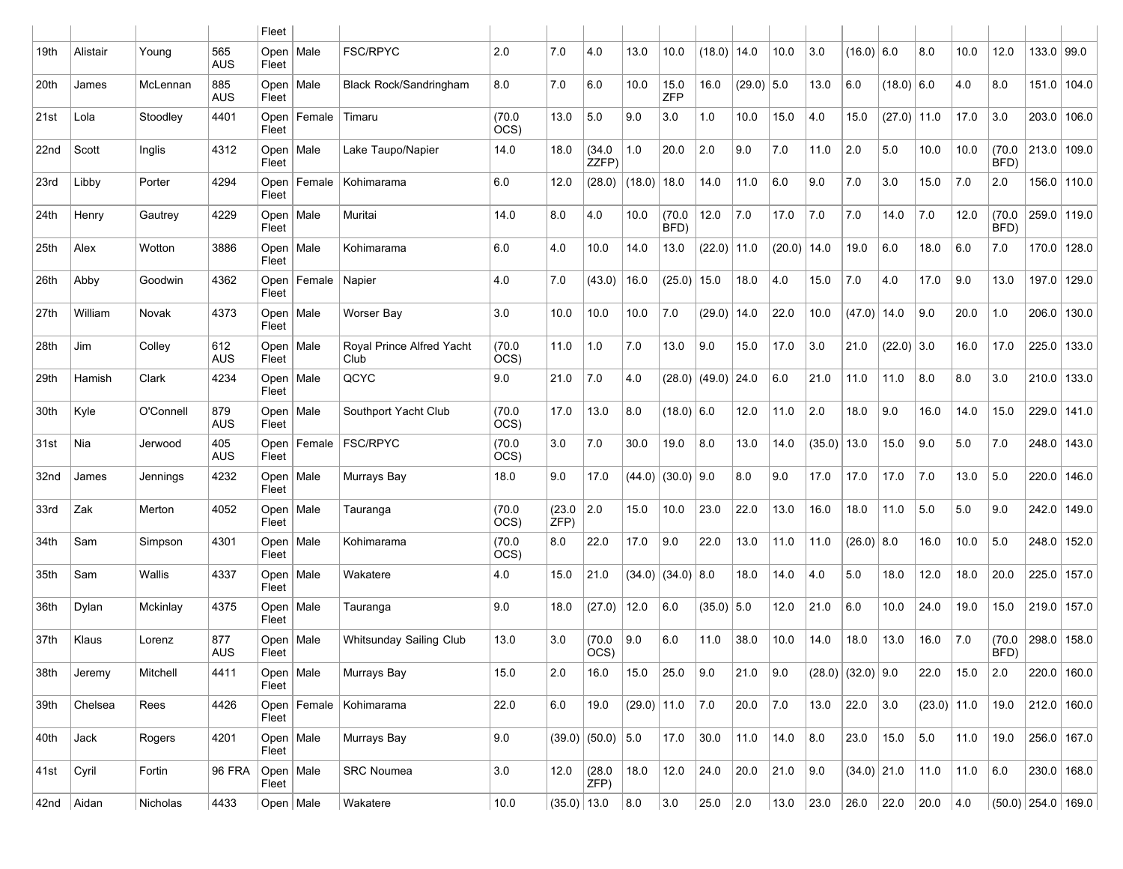|      |              |           |                   | Fleet                |             |                                   |                |               |                     |               |                |                   |              |        |                |                     |               |               |      |                |                      |               |
|------|--------------|-----------|-------------------|----------------------|-------------|-----------------------------------|----------------|---------------|---------------------|---------------|----------------|-------------------|--------------|--------|----------------|---------------------|---------------|---------------|------|----------------|----------------------|---------------|
| 19th | Alistair     | Young     | 565<br><b>AUS</b> | Open<br>Fleet        | Male        | <b>FSC/RPYC</b>                   | 2.0            | 7.0           | 4.0                 | 13.0          | 10.0           | (18.0)            | 14.0         | 10.0   | 3.0            | $(16.0)$ 6.0        |               | 8.0           | 10.0 | 12.0           | 133.0   99.0         |               |
| 20th | James        | McLennan  | 885<br>AUS        | Fleet                | Open   Male | <b>Black Rock/Sandringham</b>     | 8.0            | 7.0           | 6.0                 | 10.0          | 15.0<br>ZFP    | 16.0              | $(29.0)$ 5.0 |        | 13.0           | 6.0                 | $(18.0)$ 6.0  |               | 4.0  | 8.0            | 151.0 104.0          |               |
| 21st | Lola         | Stoodley  | 4401              | Open<br>Fleet        | Female      | Timaru                            | (70.0)<br>OCS) | 13.0          | 5.0                 | 9.0           | 3.0            | 1.0               | 10.0         | 15.0   | 4.0            | 15.0                | $(27.0)$ 11.0 |               | 17.0 | 3.0            | 203.0                | 106.0         |
| 22nd | Scott        | Inglis    | 4312              | Open<br>Fleet        | Male        | Lake Taupo/Napier                 | 14.0           | 18.0          | (34.0)<br>ZZFP)     | 1.0           | 20.0           | 2.0               | 9.0          | 7.0    | 11.0           | 2.0                 | 5.0           | 10.0          | 10.0 | (70.0)<br>BFD) | $213.0$ 109.0        |               |
| 23rd | Libby        | Porter    | 4294              | Open<br>Fleet        | Female      | Kohimarama                        | 6.0            | 12.0          | (28.0)              | (18.0)        | 18.0           | 14.0              | 11.0         | 6.0    | 9.0            | 7.0                 | 3.0           | 15.0          | 7.0  | 2.0            | 156.0 110.0          |               |
| 24th | Henry        | Gautrey   | 4229              | Open<br>Fleet        | Male        | Muritai                           | 14.0           | 8.0           | 4.0                 | 10.0          | (70.0)<br>BFD) | 12.0              | 7.0          | 17.0   | 7.0            | 7.0                 | 14.0          | 7.0           | 12.0 | (70.0<br>BFD)  | 259.0 119.0          |               |
| 25th | Alex         | Wotton    | 3886              | Open<br>Fleet        | Male        | Kohimarama                        | 6.0            | 4.0           | 10.0                | 14.0          | 13.0           | (22.0)            | 11.0         | (20.0) | 14.0           | 19.0                | 6.0           | 18.0          | 6.0  | 7.0            | 170.0 128.0          |               |
| 26th | Abby         | Goodwin   | 4362              | Open<br>Fleet        | Female      | Napier                            | 4.0            | 7.0           | (43.0)              | 16.0          | $(25.0)$ 15.0  |                   | 18.0         | 4.0    | 15.0           | 7.0                 | 4.0           | 17.0          | 9.0  | 13.0           | 197.0 129.0          |               |
| 27th | William      | Novak     | 4373              | Open  <br>Fleet      | Male        | Worser Bay                        | 3.0            | 10.0          | 10.0                | 10.0          | 7.0            | (29.0)            | 14.0         | 22.0   | 10.0           | (47.0)              | 14.0          | 9.0           | 20.0 | 1.0            | 206.0 130.0          |               |
| 28th | Jim          | Colley    | 612<br><b>AUS</b> | Open<br>Fleet        | Male        | Roval Prince Alfred Yacht<br>Club | (70.0)<br>OCS) | 11.0          | 1.0                 | 7.0           | 13.0           | 9.0               | 15.0         | 17.0   | 3.0            | 21.0                | $(22.0)$ 3.0  |               | 16.0 | 17.0           | 225.0 133.0          |               |
| 29th | Hamish       | Clark     | 4234              | Open<br>Fleet        | Male        | QCYC                              | 9.0            | 21.0          | 7.0                 | 4.0           |                | $(28.0)$ $(49.0)$ | 24.0         | 6.0    | 21.0           | 11.0                | 11.0          | 8.0           | 8.0  | 3.0            | 210.0 133.0          |               |
| 30th | Kyle         | O'Connell | 879<br><b>AUS</b> | Open<br>Fleet        | Male        | Southport Yacht Club              | (70.0)<br>OCS) | 17.0          | 13.0                | 8.0           | $(18.0)$ 6.0   |                   | 12.0         | 11.0   | 2.0            | 18.0                | 9.0           | 16.0          | 14.0 | 15.0           | 229.0 141.0          |               |
| 31st | Nia          | Jerwood   | 405<br><b>AUS</b> | Open<br>Fleet        | Female      | <b>FSC/RPYC</b>                   | (70.0)<br>OCS) | 3.0           | 7.0                 | 30.0          | 19.0           | 8.0               | 13.0         | 14.0   | $(35.0)$ 13.0  |                     | 15.0          | 9.0           | 5.0  | 7.0            | 248.0 143.0          |               |
| 32nd | James        | Jennings  | 4232              | Fleet                | Open   Male | Murrays Bay                       | 18.0           | 9.0           | 17.0                | (44.0)        | $(30.0)$ 9.0   |                   | 8.0          | 9.0    | 17.0           | 17.0                | 17.0          | 7.0           | 13.0 | 5.0            | 220.0 146.0          |               |
| 33rd | Zak          | Merton    | 4052              | Open<br>Fleet        | Male        | Tauranga                          | (70.0)<br>OCS) | (23.0)<br>ZFP | 2.0                 | 15.0          | 10.0           | 23.0              | 22.0         | 13.0   | 16.0           | 18.0                | 11.0          | 5.0           | 5.0  | 9.0            | 242.0 149.0          |               |
| 34th | Sam          | Simpson   | 4301              | Open<br>Fleet        | Male        | Kohimarama                        | (70.0)<br>OCS) | 8.0           | 22.0                | 17.0          | 9.0            | 22.0              | 13.0         | 11.0   | 11.0           | $(26.0)$ 8.0        |               | 16.0          | 10.0 | 5.0            | 248.0 152.0          |               |
| 35th | Sam          | Wallis    | 4337              | Open<br>Fleet        | Male        | Wakatere                          | 4.0            | 15.0          | 21.0                | (34.0)        | $(34.0)$ 8.0   |                   | 18.0         | 14.0   | 4.0            | 5.0                 | 18.0          | 12.0          | 18.0 | 20.0           | 225.0 157.0          |               |
| 36th | Dylan        | Mckinlay  | 4375              | Open<br>Fleet        | Male        | Tauranga                          | 9.0            | 18.0          | (27.0)              | 12.0          | 6.0            | $(35.0)$ 5.0      |              | 12.0   | 21.0           | 6.0                 | 10.0          | 24.0          | 19.0 | 15.0           | 219.0 157.0          |               |
| 37th | Klaus        | Lorenz    | 877<br><b>AUS</b> | Open<br>Fleet        | Male        | Whitsunday Sailing Club           | 13.0           | 3.0           | (70.0)<br>OCS)      | 9.0           | 6.0            | 11.0              | 38.0         | 10.0   | 14.0           | 18.0                | 13.0          | 16.0          | 7.0  | (70.0)<br>BFD) | 298.0 158.0          |               |
| 38th | Jeremy       | Mitchell  | 4411              | Fleet                | Open   Male | Murrays Bay                       | 15.0           | 2.0           | 16.0                | 15.0          | 25.0           | 9.0               | 21.0         | 9.0    |                | $(28.0)$ (32.0) 9.0 |               | 22.0          | 15.0 | 2.0            |                      | 220.0   160.0 |
| 39th | Chelsea      | Rees      | 4426              | Fleet                |             | Open   Female   Kohimarama        | 22.0           | 6.0           | 19.0                | $(29.0)$ 11.0 |                | 7.0               | 20.0         | 7.0    | 13.0           | 22.0                | 3.0           | $(23.0)$ 11.0 |      | 19.0           | $212.0$ 160.0        |               |
| 40th | Jack         | Rogers    | 4201              | Open   Male<br>Fleet |             | Murrays Bay                       | 9.0            |               | $(39.0)$ (50.0) 5.0 |               | 17.0           | 30.0              | 11.0         | 14.0   | 8.0            | 23.0                | 15.0          | 5.0           | 11.0 | 19.0           |                      | 256.0   167.0 |
| 41st | Cyril        | Fortin    | <b>96 FRA</b>     | Fleet                | Open   Male | SRC Noumea                        | 3.0            | 12.0          | (28.0)<br>ZFP)      | 18.0          | 12.0           | 24.0              | 20.0         | 21.0   | 9.0            | $(34.0)$ 21.0       |               | 11.0          | 11.0 | 6.0            |                      | $230.0$ 168.0 |
|      | 42nd   Aidan | Nicholas  | 4433              | Open   Male          |             | Wakatere                          | 10.0           | $(35.0)$ 13.0 |                     | 8.0           | 3.0            | 25.0              | 2.0          | 13.0   | $ 23.0\rangle$ | 26.0 22.0           |               | 20.0 4.0      |      |                | $(50.0)$ 254.0 169.0 |               |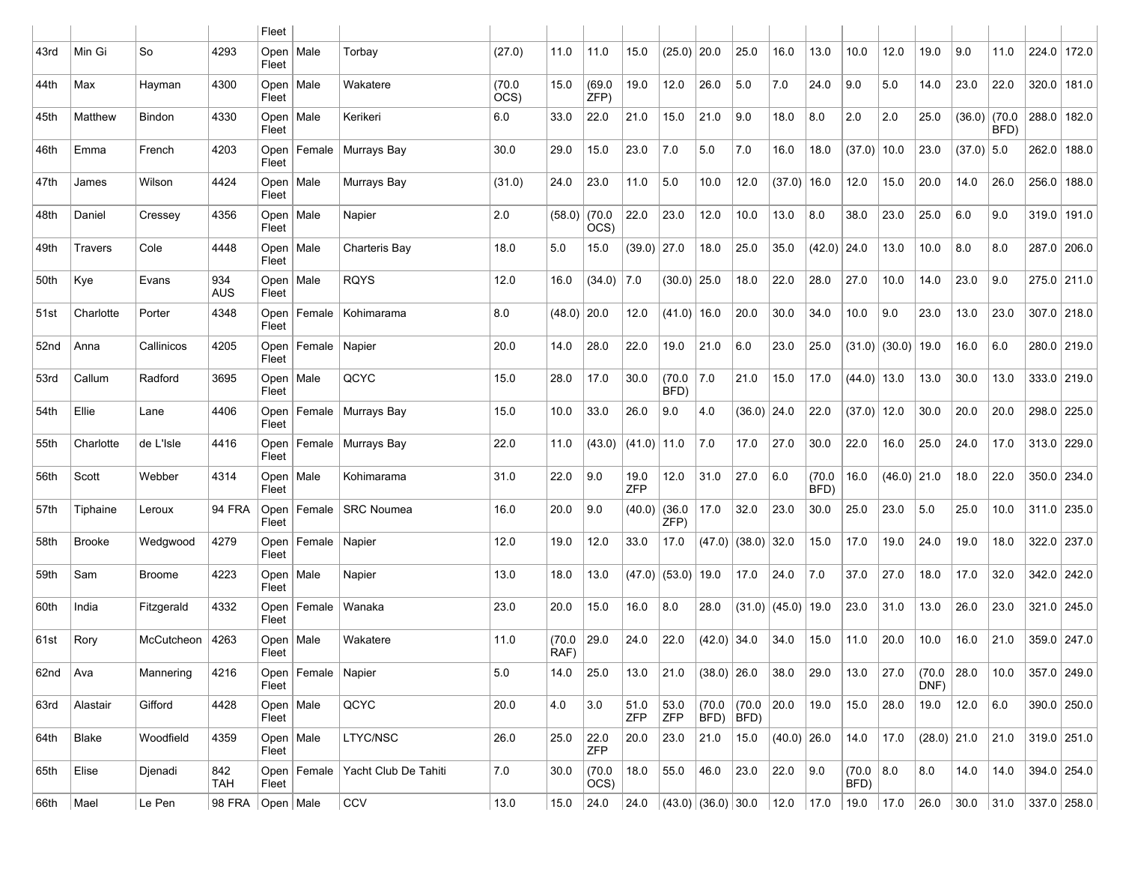|             |                |               |                      | Fleet                |                        |                               |                |                |                |                    |                        |                    |                |                 |                |                     |                        |                |              |                |               |       |
|-------------|----------------|---------------|----------------------|----------------------|------------------------|-------------------------------|----------------|----------------|----------------|--------------------|------------------------|--------------------|----------------|-----------------|----------------|---------------------|------------------------|----------------|--------------|----------------|---------------|-------|
| 43rd        | Min Gi         | So            | 4293                 | Open<br>Fleet        | Male                   | Torbay                        | (27.0)         | 11.0           | 11.0           | 15.0               | $(25.0)$ 20.0          |                    | 25.0           | 16.0            | 13.0           | 10.0                | 12.0                   | 19.0           | 9.0          | 11.0           | 224.0 172.0   |       |
| 44th        | Max            | Hayman        | 4300                 | Open<br>Fleet        | Male                   | Wakatere                      | (70.0)<br>OCS) | 15.0           | (69.0)<br>ZFP  | 19.0               | 12.0                   | 26.0               | 5.0            | 7.0             | 24.0           | 9.0                 | 5.0                    | 14.0           | 23.0         | 22.0           | 320.0 181.0   |       |
| 45th        | Matthew        | <b>Bindon</b> | 4330                 | Open<br>Fleet        | Male                   | Kerikeri                      | 6.0            | 33.0           | 22.0           | 21.0               | 15.0                   | 21.0               | 9.0            | 18.0            | 8.0            | 2.0                 | 2.0                    | 25.0           | (36.0)       | (70.0)<br>BFD) | 288.0 182.0   |       |
| 46th        | Emma           | French        | 4203                 | Open<br>Fleet        |                        | Female   Murrays Bay          | 30.0           | 29.0           | 15.0           | 23.0               | 7.0                    | 5.0                | 7.0            | 16.0            | 18.0           | (37.0)              | 10.0                   | 23.0           | $(37.0)$ 5.0 |                | 262.0 188.0   |       |
| 47th        | James          | Wilson        | 4424                 | Open<br>Fleet        | Male                   | Murrays Bay                   | (31.0)         | 24.0           | 23.0           | 11.0               | 5.0                    | 10.0               | 12.0           | (37.0)          | 16.0           | 12.0                | 15.0                   | 20.0           | 14.0         | 26.0           | 256.0         | 188.0 |
| 48th        | Daniel         | Cressey       | 4356                 | Open<br>Fleet        | Male                   | Napier                        | 2.0            | (58.0)         | (70.0)<br>OCS) | 22.0               | 23.0                   | 12.0               | 10.0           | 13.0            | 8.0            | 38.0                | 23.0                   | 25.0           | 6.0          | 9.0            | 319.0 191.0   |       |
| 49th        | <b>Travers</b> | Cole          | 4448                 | Open<br>Fleet        | Male                   | Charteris Bay                 | 18.0           | 5.0            | 15.0           | $(39.0)$ 27.0      |                        | 18.0               | 25.0           | 35.0            | $(42.0)$ 24.0  |                     | 13.0                   | 10.0           | 8.0          | 8.0            | 287.0 206.0   |       |
| 50th        | Kye            | Evans         | 934<br><b>AUS</b>    | Open<br>Fleet        | Male                   | <b>RQYS</b>                   | 12.0           | 16.0           | (34.0)         | 7.0                | (30.0)                 | 25.0               | 18.0           | 22.0            | 28.0           | 27.0                | 10.0                   | 14.0           | 23.0         | 9.0            | 275.0 211.0   |       |
| 51st        | Charlotte      | Porter        | 4348                 | Open<br>Fleet        |                        | Female   Kohimarama           | 8.0            | $(48.0)$ 20.0  |                | 12.0               | $(41.0)$ 16.0          |                    | 20.0           | 30.0            | 34.0           | 10.0                | 9.0                    | 23.0           | 13.0         | 23.0           | 307.0 218.0   |       |
| 52nd        | Anna           | Callinicos    | 4205                 | Open<br>Fleet        | Female   Napier        |                               | 20.0           | 14.0           | 28.0           | 22.0               | 19.0                   | 21.0               | 6.0            | 23.0            | 25.0           |                     | $(31.0)$ $(30.0)$ 19.0 |                | 16.0         | 6.0            | 280.0 219.0   |       |
| 53rd        | Callum         | Radford       | 3695                 | Open<br>Fleet        | Male                   | QCYC                          | 15.0           | 28.0           | 17.0           | 30.0               | (70.0)<br>BFD)         | 7.0                | 21.0           | 15.0            | 17.0           | $(44.0)$ 13.0       |                        | 13.0           | 30.0         | 13.0           | 333.0 219.0   |       |
| 54th        | Ellie          | Lane          | 4406                 | Open<br>Fleet        |                        | Female   Murrays Bay          | 15.0           | 10.0           | 33.0           | 26.0               | 9.0                    | 4.0                | $(36.0)$ 24.0  |                 | 22.0           | $(37.0)$ 12.0       |                        | 30.0           | 20.0         | 20.0           | 298.0 225.0   |       |
| 55th        | Charlotte      | de L'Isle     | 4416                 | Open<br>Fleet        |                        | Female   Murrays Bay          | 22.0           | 11.0           | (43.0)         | $(41.0)$ 11.0      |                        | 7.0                | 17.0           | 27.0            | 30.0           | 22.0                | 16.0                   | 25.0           | 24.0         | 17.0           | 313.0 229.0   |       |
| 56th        | Scott          | Webber        | 4314                 | Open<br>Fleet        | Male                   | Kohimarama                    | 31.0           | 22.0           | 9.0            | 19.0<br><b>ZFP</b> | 12.0                   | 31.0               | 27.0           | 6.0             | (70.0)<br>BFD) | 16.0                | $(46.0)$ 21.0          |                | 18.0         | 22.0           | 350.0 234.0   |       |
| 57th        | Tiphaine       | Leroux        | 94 FRA               | Open<br>Fleet        |                        | Female   SRC Noumea           | 16.0           | 20.0           | 9.0            | $(40.0)$ (36.0)    | ZFP                    | 17.0               | 32.0           | 23.0            | 30.0           | 25.0                | 23.0                   | 5.0            | 25.0         | 10.0           | $311.0$ 235.0 |       |
| 58th        | <b>Brooke</b>  | Wedgwood      | 4279                 | Open<br>Fleet        | Female   Napier        |                               | 12.0           | 19.0           | 12.0           | 33.0               | 17.0                   | (47.0)             | $(38.0)$ 32.0  |                 | 15.0           | 17.0                | 19.0                   | 24.0           | 19.0         | 18.0           | 322.0 237.0   |       |
| 59th        | Sam            | <b>Broome</b> | 4223                 | Open<br>Fleet        | Male                   | Napier                        | 13.0           | 18.0           | 13.0           |                    | $(47.0)$ $(53.0)$ 19.0 |                    | 17.0           | 24.0            | 7.0            | 37.0                | 27.0                   | 18.0           | 17.0         | 32.0           | 342.0 242.0   |       |
| 60th        | India          | Fitzgerald    | 4332                 | Open<br>Fleet        | Female                 | Wanaka                        | 23.0           | 20.0           | 15.0           | 16.0               | 8.0                    | 28.0               |                | $(31.0)$ (45.0) | 19.0           | 23.0                | 31.0                   | 13.0           | 26.0         | 23.0           | 321.0 245.0   |       |
| 61st        | Rory           | McCutcheon    | 4263                 | Open<br>Fleet        | Male                   | Wakatere                      | 11.0           | (70.0)<br>RAF) | 29.0           | 24.0               | 22.0                   | (42.0)             | 34.0           | 34.0            | 15.0           | 11.0                | 20.0                   | 10.0           | 16.0         | 21.0           | 359.0 247.0   |       |
| 62nd        | Ava            | Mannering     | 4216                 | Fleet                | Open   Female   Napier |                               | 5.0            | 14.0           | 25.0           | 13.0               | 21.0                   | $(38.0)$ 26.0      |                | 38.0            | 29.0           | 13.0                | 27.0                   | (70.0)<br>DNF) | 28.0         | 10.0           | $357.0$ 249.0 |       |
| 63rd        | Alastair       | Gifford       | 4428                 | Open   Male<br>Fleet |                        | QCYC                          | 20.0           | 4.0            | 3.0            | 51.0<br>ZFP        | 53.0<br>ZFP            | (70.0)<br>BFD)     | (70.0)<br>BFD) | 20.0            | 19.0           | 15.0                | 28.0                   | 19.0           | 12.0         | 6.0            | $390.0$ 250.0 |       |
| 64th        | Blake          | Woodfield     | 4359                 | Open   Male<br>Fleet |                        | LTYC/NSC                      | 26.0           | 25.0           | 22.0<br>ZFP    | 20.0               | 23.0                   | 21.0               | 15.0           | $(40.0)$ 26.0   |                | 14.0                | 17.0                   | $(28.0)$ 21.0  |              | 21.0           | $319.0$ 251.0 |       |
| 65th        | Elise          | Djenadi       | 842<br>TAH           | Open<br>Fleet        |                        | Female   Yacht Club De Tahiti | 7.0            | 30.0           | (70.0)<br>OCS) | 18.0               | 55.0                   | 46.0               | 23.0           | 22.0            | 9.0            | (70.0   8.0<br>BFD) |                        | 8.0            | 14.0         | 14.0           | 394.0 254.0   |       |
| 66th   Mael |                | Le Pen        | 98 FRA   Open   Male |                      |                        | CCV                           | 13.0           | 15.0           | 24.0           | 24.0               |                        | (43.0) (36.0) 30.0 |                | 12.0            | 17.0           | $19.0$ 17.0         |                        | 26.0 30.0      |              | 31.0           | $337.0$ 258.0 |       |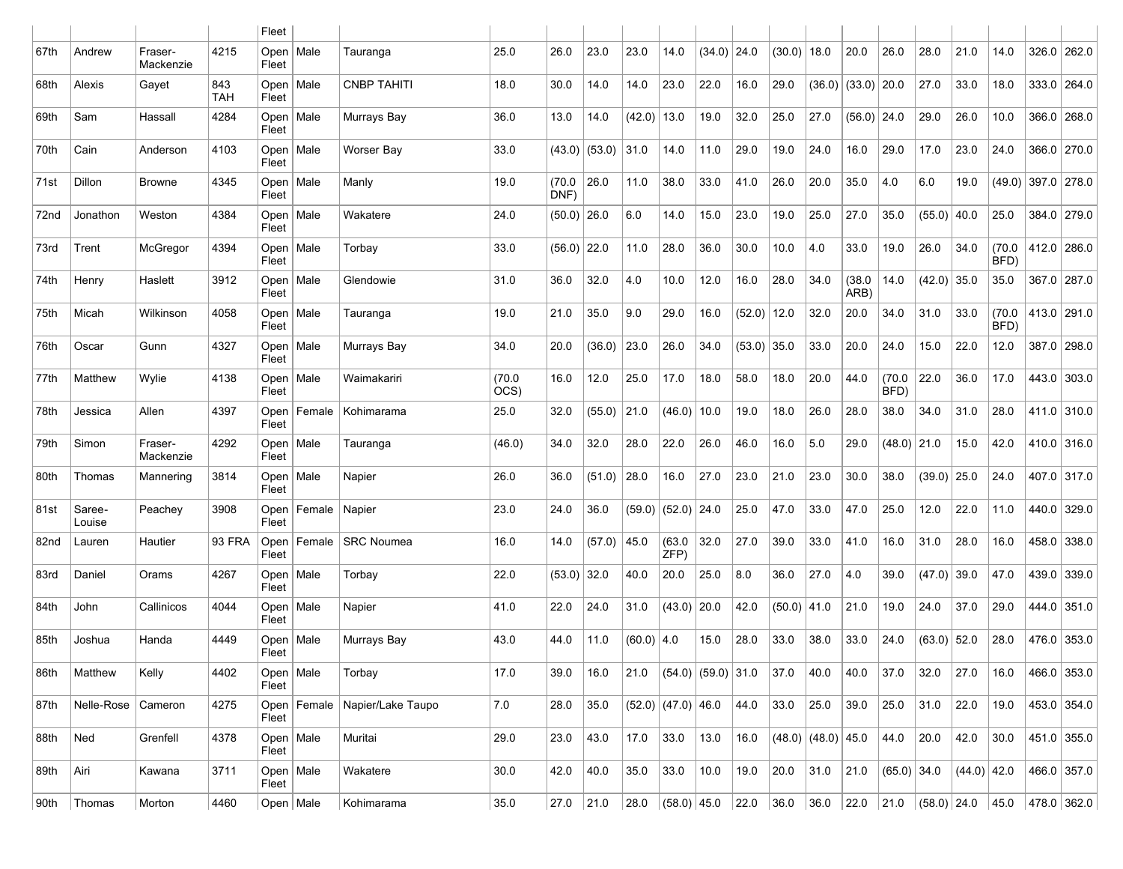|      |                  |                      |                   | Fleet                |        |                                   |                |                |                 |              |                        |                          |               |                       |                          |                        |                |                       |               |                |               |               |
|------|------------------|----------------------|-------------------|----------------------|--------|-----------------------------------|----------------|----------------|-----------------|--------------|------------------------|--------------------------|---------------|-----------------------|--------------------------|------------------------|----------------|-----------------------|---------------|----------------|---------------|---------------|
| 67th | Andrew           | Fraser-<br>Mackenzie | 4215              | Open<br>Fleet        | Male   | Tauranga                          | 25.0           | 26.0           | 23.0            | 23.0         | 14.0                   | (34.0)                   | 24.0          | (30.0)                | 18.0                     | 20.0                   | 26.0           | 28.0                  | 21.0          | 14.0           | 326.0         | 262.0         |
| 68th | Alexis           | Gayet                | 843<br><b>TAH</b> | Open  <br>Fleet      | Male   | <b>CNBP TAHITI</b>                | 18.0           | 30.0           | 14.0            | 14.0         | 23.0                   | 22.0                     | 16.0          | 29.0                  |                          | $(36.0)$ $(33.0)$ 20.0 |                | 27.0                  | 33.0          | 18.0           | 333.0 264.0   |               |
| 69th | Sam              | Hassall              | 4284              | Open<br>Fleet        | Male   | Murrays Bay                       | 36.0           | 13.0           | 14.0            | (42.0)       | 13.0                   | 19.0                     | 32.0          | 25.0                  | 27.0                     | (56.0)                 | 24.0           | 29.0                  | 26.0          | 10.0           | 366.0 268.0   |               |
| 70th | Cain             | Anderson             | 4103              | Open<br>Fleet        | Male   | Worser Bay                        | 33.0           |                | $(43.0)$ (53.0) | 31.0         | 14.0                   | 11.0                     | 29.0          | 19.0                  | 24.0                     | 16.0                   | 29.0           | 17.0                  | 23.0          | 24.0           | 366.0 270.0   |               |
| 71st | Dillon           | <b>Browne</b>        | 4345              | Open<br>Fleet        | Male   | Manly                             | 19.0           | (70.0)<br>DNF) | 26.0            | 11.0         | 38.0                   | 33.0                     | 41.0          | 26.0                  | 20.0                     | 35.0                   | 4.0            | 6.0                   | 19.0          | (49.0)         | $397.0$ 278.0 |               |
| 72nd | Jonathon         | Weston               | 4384              | Open<br>Fleet        | Male   | Wakatere                          | 24.0           | $(50.0)$ 26.0  |                 | 6.0          | 14.0                   | 15.0                     | 23.0          | 19.0                  | 25.0                     | 27.0                   | 35.0           | (55.0)                | 40.0          | 25.0           | 384.0         | 279.0         |
| 73rd | Trent            | McGregor             | 4394              | Open<br>Fleet        | Male   | Torbay                            | 33.0           | $(56.0)$ 22.0  |                 | 11.0         | 28.0                   | 36.0                     | 30.0          | 10.0                  | 4.0                      | 33.0                   | 19.0           | 26.0                  | 34.0          | (70.0)<br>BFD) | 412.0 286.0   |               |
| 74th | Henry            | Haslett              | 3912              | Open  <br>Fleet      | Male   | Glendowie                         | 31.0           | 36.0           | 32.0            | 4.0          | 10.0                   | 12.0                     | 16.0          | 28.0                  | 34.0                     | (38.0)<br>ARB)         | 14.0           | $(42.0)$ 35.0         |               | 35.0           | 367.0 287.0   |               |
| 75th | Micah            | Wilkinson            | 4058              | Open  <br>Fleet      | Male   | Tauranga                          | 19.0           | 21.0           | 35.0            | 9.0          | 29.0                   | 16.0                     | $(52.0)$ 12.0 |                       | 32.0                     | 20.0                   | 34.0           | 31.0                  | 33.0          | (70.0)<br>BFD) | 413.0 291.0   |               |
| 76th | Oscar            | Gunn                 | 4327              | Open<br>Fleet        | Male   | Murrays Bay                       | 34.0           | 20.0           | (36.0)          | 23.0         | 26.0                   | 34.0                     | $(53.0)$ 35.0 |                       | 33.0                     | 20.0                   | 24.0           | 15.0                  | 22.0          | 12.0           | 387.0 298.0   |               |
| 77th | Matthew          | Wylie                | 4138              | Open<br>Fleet        | Male   | Waimakariri                       | (70.0)<br>OCS) | 16.0           | 12.0            | 25.0         | 17.0                   | 18.0                     | 58.0          | 18.0                  | 20.0                     | 44.0                   | (70.0)<br>BFD) | 22.0                  | 36.0          | 17.0           | 443.0 303.0   |               |
| 78th | Jessica          | Allen                | 4397              | Open<br>Fleet        | Female | Kohimarama                        | 25.0           | 32.0           | (55.0)          | 21.0         | $(46.0)$ 10.0          |                          | 19.0          | 18.0                  | 26.0                     | 28.0                   | 38.0           | 34.0                  | 31.0          | 28.0           | 411.0 310.0   |               |
| 79th | Simon            | Fraser-<br>Mackenzie | 4292              | Open<br>Fleet        | Male   | Tauranga                          | (46.0)         | 34.0           | 32.0            | 28.0         | 22.0                   | 26.0                     | 46.0          | 16.0                  | 5.0                      | 29.0                   | $(48.0)$ 21.0  |                       | 15.0          | 42.0           | 410.0 316.0   |               |
| 80th | Thomas           | Mannering            | 3814              | Open  <br>Fleet      | Male   | Napier                            | 26.0           | 36.0           | (51.0)          | 28.0         | 16.0                   | 27.0                     | 23.0          | 21.0                  | 23.0                     | 30.0                   | 38.0           | (39.0)                | 25.0          | 24.0           | 407.0 317.0   |               |
| 81st | Saree-<br>Louise | Peachey              | 3908              | Open<br>Fleet        | Female | Napier                            | 23.0           | 24.0           | 36.0            | (59.0)       | $(52.0)$ 24.0          |                          | 25.0          | 47.0                  | 33.0                     | 47.0                   | 25.0           | 12.0                  | 22.0          | 11.0           | 440.0 329.0   |               |
| 82nd | Lauren           | Hautier              | 93 FRA            | Open<br>Fleet        | Female | <b>SRC Noumea</b>                 | 16.0           | 14.0           | (57.0)          | 45.0         | (63.0)<br>ZFP)         | 32.0                     | 27.0          | 39.0                  | 33.0                     | 41.0                   | 16.0           | 31.0                  | 28.0          | 16.0           | 458.0 338.0   |               |
| 83rd | Daniel           | Orams                | 4267              | Open<br>Fleet        | Male   | Torbay                            | 22.0           | $(53.0)$ 32.0  |                 | 40.0         | 20.0                   | 25.0                     | 8.0           | 36.0                  | 27.0                     | 4.0                    | 39.0           | (47.0)                | 39.0          | 47.0           | 439.0         | 339.0         |
| 84th | John             | Callinicos           | 4044              | Open<br>Fleet        | Male   | Napier                            | 41.0           | 22.0           | 24.0            | 31.0         | $(43.0)$ 20.0          |                          | 42.0          | $(50.0)$ 41.0         |                          | 21.0                   | 19.0           | 24.0                  | 37.0          | 29.0           | 444.0         | 351.0         |
| 85th | Joshua           | Handa                | 4449              | Open<br>Fleet        | Male   | Murrays Bay                       | 43.0           | 44.0           | 11.0            | $(60.0)$ 4.0 |                        | 15.0                     | 28.0          | 33.0                  | 38.0                     | 33.0                   | 24.0           | (63.0)                | 52.0          | 28.0           | 476.0 353.0   |               |
| 86th | Matthew          | Kelly                | 4402              | Open   Male<br>Fleet |        | Torbay                            | 17.0           | 39.0           | 16.0            | 21.0         |                        | $(54.0)$ $(59.0)$ $31.0$ |               | 37.0                  | 40.0                     | 40.0                   | 37.0           | 32.0                  | 27.0          | 16.0           |               | 466.0 353.0   |
| 87th | Nelle-Rose       | Cameron              | 4275              | Fleet                |        | Open   Female   Napier/Lake Taupo | 7.0            | 28.0           | 35.0            |              | $(52.0)$ $(47.0)$ 46.0 |                          | 44.0          | 33.0                  | 25.0                     | 39.0                   | 25.0           | 31.0                  | 22.0          | 19.0           | 453.0 354.0   |               |
| 88th | Ned              | Grenfell             | 4378              | Open   Male<br>Fleet |        | Muritai                           | 29.0           | 23.0           | 43.0            | 17.0         | 33.0                   | 13.0                     | 16.0          |                       | $(48.0)$ $(48.0)$ $45.0$ |                        | 44.0           | 20.0                  | 42.0          | 30.0           |               | 451.0   355.0 |
| 89th | Airi             | Kawana               | 3711              | Open   Male<br>Fleet |        | Wakatere                          | 30.0           | 42.0           | 40.0            | 35.0         | 33.0                   | 10.0                     | 19.0          | 20.0                  | 31.0                     | 21.0                   | $(65.0)$ 34.0  |                       | $(44.0)$ 42.0 |                |               | 466.0 357.0   |
| 90th | Thomas           | Morton               | 4460              | Open   Male          |        | Kohimarama                        | 35.0           | 27.0           | 21.0            | 28.0         |                        | (58.0) 45.0              |               | $22.0$ 36.0 36.0 22.0 |                          |                        |                | $ 21.0 \t(58.0) 24.0$ |               | 45.0           | 478.0 362.0   |               |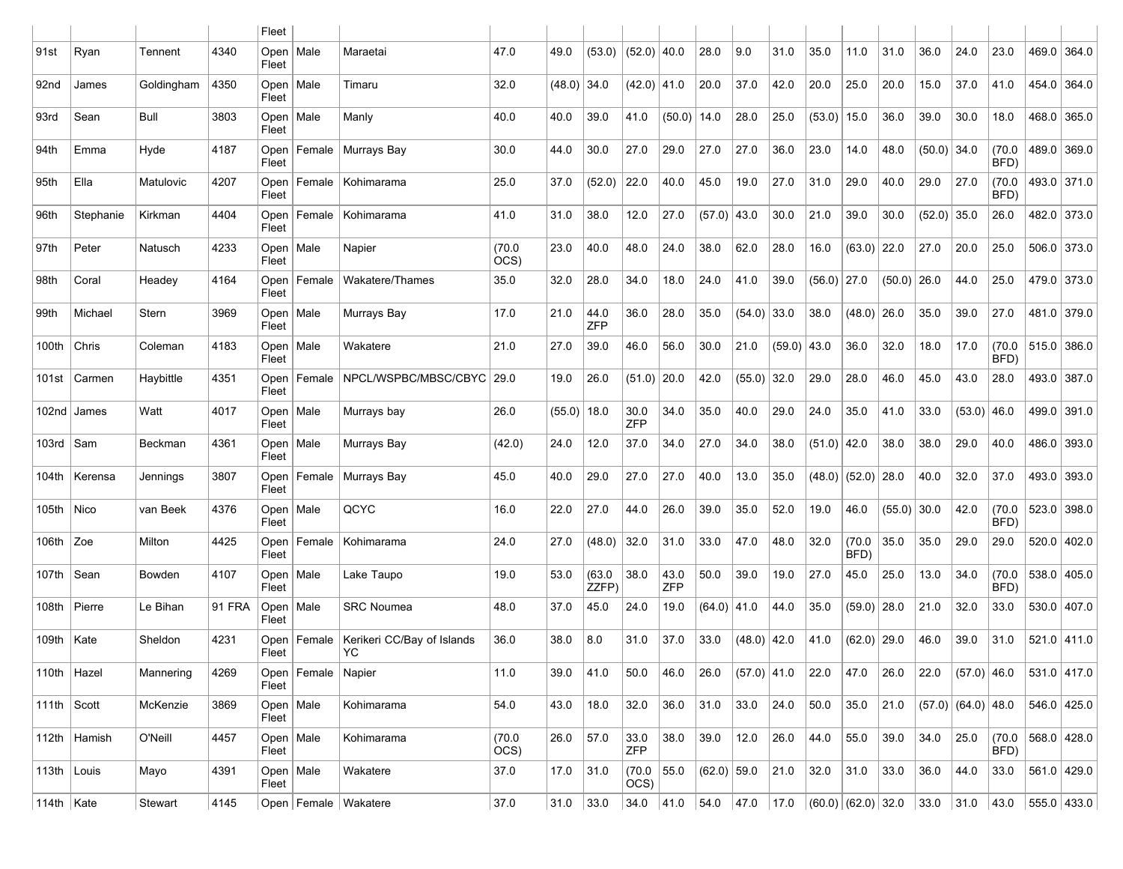|                     |                |            |               | Fleet                |                        |                                  |                |               |                    |                      |             |                     |               |        |               |                              |               |        |                      |                |               |               |
|---------------------|----------------|------------|---------------|----------------------|------------------------|----------------------------------|----------------|---------------|--------------------|----------------------|-------------|---------------------|---------------|--------|---------------|------------------------------|---------------|--------|----------------------|----------------|---------------|---------------|
| 91st                | Ryan           | Tennent    | 4340          | Open  <br>Fleet      | Male                   | Maraetai                         | 47.0           | 49.0          | (53.0)             | $(52.0)$ 40.0        |             | 28.0                | 9.0           | 31.0   | 35.0          | 11.0                         | 31.0          | 36.0   | 24.0                 | 23.0           | 469.0 364.0   |               |
| 92 <sub>nd</sub>    | James          | Goldingham | 4350          | Fleet                | Open   Male            | Timaru                           | 32.0           | $(48.0)$ 34.0 |                    | $(42.0)$ 41.0        |             | 20.0                | 37.0          | 42.0   | 20.0          | 25.0                         | 20.0          | 15.0   | 37.0                 | 41.0           | 454.0 364.0   |               |
| 93rd                | Sean           | Bull       | 3803          | Open<br>Fleet        | Male                   | Manly                            | 40.0           | 40.0          | 39.0               | 41.0                 | (50.0)      | 14.0                | 28.0          | 25.0   | $(53.0)$ 15.0 |                              | 36.0          | 39.0   | 30.0                 | 18.0           | 468.0         | 365.0         |
| 94th                | Emma           | Hyde       | 4187          | Open<br>Fleet        |                        | Female   Murrays Bay             | 30.0           | 44.0          | 30.0               | 27.0                 | 29.0        | 27.0                | 27.0          | 36.0   | 23.0          | 14.0                         | 48.0          | (50.0) | 34.0                 | (70.0)<br>BFD) | 489.0 369.0   |               |
| 95th                | Ella           | Matulovic  | 4207          | Open<br>Fleet        |                        | Female   Kohimarama              | 25.0           | 37.0          | (52.0)             | 22.0                 | 40.0        | 45.0                | 19.0          | 27.0   | 31.0          | 29.0                         | 40.0          | 29.0   | 27.0                 | (70.0)<br>BFD) | 493.0 371.0   |               |
| 96th                | Stephanie      | Kirkman    | 4404          | Open<br>Fleet        | Female                 | Kohimarama                       | 41.0           | 31.0          | 38.0               | 12.0                 | 27.0        | (57.0)              | 43.0          | 30.0   | 21.0          | 39.0                         | 30.0          | (52.0) | 35.0                 | 26.0           | 482.0 373.0   |               |
| 97th                | Peter          | Natusch    | 4233          | Open<br>Fleet        | Male                   | Napier                           | (70.0)<br>OCS) | 23.0          | 40.0               | 48.0                 | 24.0        | 38.0                | 62.0          | 28.0   | 16.0          | (63.0)                       | 22.0          | 27.0   | 20.0                 | 25.0           | 506.0 373.0   |               |
| 98th                | Coral          | Headey     | 4164          | Open<br>Fleet        | Female                 | Wakatere/Thames                  | 35.0           | 32.0          | 28.0               | 34.0                 | 18.0        | 24.0                | 41.0          | 39.0   | $(56.0)$ 27.0 |                              | $(50.0)$ 26.0 |        | 44.0                 | 25.0           | 479.0 373.0   |               |
| 99th                | Michael        | Stern      | 3969          | Fleet                | Open   Male            | Murrays Bay                      | 17.0           | 21.0          | 44.0<br><b>ZFP</b> | 36.0                 | 28.0        | 35.0                | $(54.0)$ 33.0 |        | 38.0          | (48.0)                       | 26.0          | 35.0   | 39.0                 | 27.0           | 481.0 379.0   |               |
| 100th               | Chris          | Coleman    | 4183          | Open<br>Fleet        | Male                   | Wakatere                         | 21.0           | 27.0          | 39.0               | 46.0                 | 56.0        | 30.0                | 21.0          | (59.0) | 43.0          | 36.0                         | 32.0          | 18.0   | 17.0                 | (70.0)<br>BFD) | $515.0$ 386.0 |               |
| 101st               | Carmen         | Haybittle  | 4351          | Open<br>Fleet        | Female                 | NPCL/WSPBC/MBSC/CBYC             | 29.0           | 19.0          | 26.0               | (51.0)               | 20.0        | 42.0                | $(55.0)$ 32.0 |        | 29.0          | 28.0                         | 46.0          | 45.0   | 43.0                 | 28.0           | 493.0 387.0   |               |
|                     | 102nd James    | Watt       | 4017          | Open<br>Fleet        | Male                   | Murrays bay                      | 26.0           | $(55.0)$ 18.0 |                    | 30.0<br><b>ZFP</b>   | 34.0        | 35.0                | 40.0          | 29.0   | 24.0          | 35.0                         | 41.0          | 33.0   | (53.0)               | 46.0           | 499.0 391.0   |               |
| 103rd   Sam         |                | Beckman    | 4361          | Open<br>Fleet        | Male                   | Murrays Bay                      | (42.0)         | 24.0          | 12.0               | 37.0                 | 34.0        | 27.0                | 34.0          | 38.0   | $(51.0)$ 42.0 |                              | 38.0          | 38.0   | 29.0                 | 40.0           | 486.0 393.0   |               |
| 104th               | Kerensa        | Jennings   | 3807          | Open  <br>Fleet      | Female                 | Murrays Bay                      | 45.0           | 40.0          | 29.0               | 27.0                 | 27.0        | 40.0                | 13.0          | 35.0   |               | $(48.0)$ (52.0)              | 28.0          | 40.0   | 32.0                 | 37.0           | 493.0 393.0   |               |
| 105th               | $\vert$ Nico   | van Beek   | 4376          | Open $ $<br>Fleet    | Male                   | QCYC                             | 16.0           | 22.0          | 27.0               | 44.0                 | 26.0        | 39.0                | 35.0          | 52.0   | 19.0          | 46.0                         | $(55.0)$ 30.0 |        | 42.0                 | (70.0)<br>BFD) | 523.0 398.0   |               |
| $106th$ Zoe         |                | Milton     | 4425          | Open<br>Fleet        | Female                 | Kohimarama                       | 24.0           | 27.0          | (48.0)             | 32.0                 | 31.0        | 33.0                | 47.0          | 48.0   | 32.0          | (70.0)<br>BFD)               | 35.0          | 35.0   | 29.0                 | 29.0           | 520.0 402.0   |               |
| 107th               | Sean           | Bowden     | 4107          | Open<br>Fleet        | Male                   | Lake Taupo                       | 19.0           | 53.0          | (63.0)<br>ZZFP)    | 38.0                 | 43.0<br>ZFP | 50.0                | 39.0          | 19.0   | 27.0          | 45.0                         | 25.0          | 13.0   | 34.0                 | (70.0)<br>BFD) | 538.0 405.0   |               |
| 108th               | Pierre         | Le Bihan   | <b>91 FRA</b> | Open<br>Fleet        | Male                   | <b>SRC Noumea</b>                | 48.0           | 37.0          | 45.0               | 24.0                 | 19.0        | $(64.0)$ 41.0       |               | 44.0   | 35.0          | (59.0)                       | 28.0          | 21.0   | 32.0                 | 33.0           | 530.0 407.0   |               |
| 109th Kate          |                | Sheldon    | 4231          | Open<br>Fleet        | Female                 | Kerikeri CC/Bay of Islands<br>YC | 36.0           | 38.0          | 8.0                | 31.0                 | 37.0        | 33.0                | $(48.0)$ 42.0 |        | 41.0          | $(62.0)$ 29.0                |               | 46.0   | 39.0                 | 31.0           | 521.0 411.0   |               |
| 110th   Hazel       |                | Mannering  | 4269          | Fleet                | Open   Female   Napier |                                  | 11.0           | 39.0          | 41.0               | 50.0                 | 46.0        | 26.0                | $(57.0)$ 41.0 |        | 22.0          | 47.0                         | 26.0          | 22.0   | $(57.0)$ 46.0        |                | 531.0 417.0   |               |
| 111th $\vert$ Scott |                | McKenzie   | 3869          | Open   Male<br>Fleet |                        | Kohimarama                       | 54.0           | 43.0          | 18.0               | 32.0                 | 36.0        | 31.0                | 33.0          | 24.0   | 50.0          | 35.0                         | 21.0          |        | $(57.0)$ (64.0) 48.0 |                | 546.0 425.0   |               |
|                     | 112th   Hamish | O'Neill    | 4457          | Open   Male<br>Fleet |                        | Kohimarama                       | (70.0)<br>OCS) | 26.0          | 57.0               | 33.0<br><b>ZFP</b>   | 38.0        | 39.0                | 12.0          | 26.0   | 44.0          | 55.0                         | 39.0          | 34.0   | 25.0                 | (70.0)<br>BFD) | 568.0   428.0 |               |
| 113th   Louis       |                | Mayo       | 4391          | Fleet                | Open   Male            | Wakatere                         | 37.0           | 17.0          | 31.0               | (70.0   55.0<br>OCS) |             | $(62.0)$ 59.0       |               | 21.0   | 32.0          | $ 31.0\rangle$               | 33.0          | 36.0   | 44.0                 | 33.0           |               | 561.0   429.0 |
| 114th $ $ Kate      |                | Stewart    | 4145          |                      |                        | Open   Female   Wakatere         | 37.0           | 31.0          | $33.0$             | 34.0                 |             | 41.0 54.0 47.0 17.0 |               |        |               | (60.0) (62.0) 32.0 33.0 31.0 |               |        |                      | 43.0           | 555.0 433.0   |               |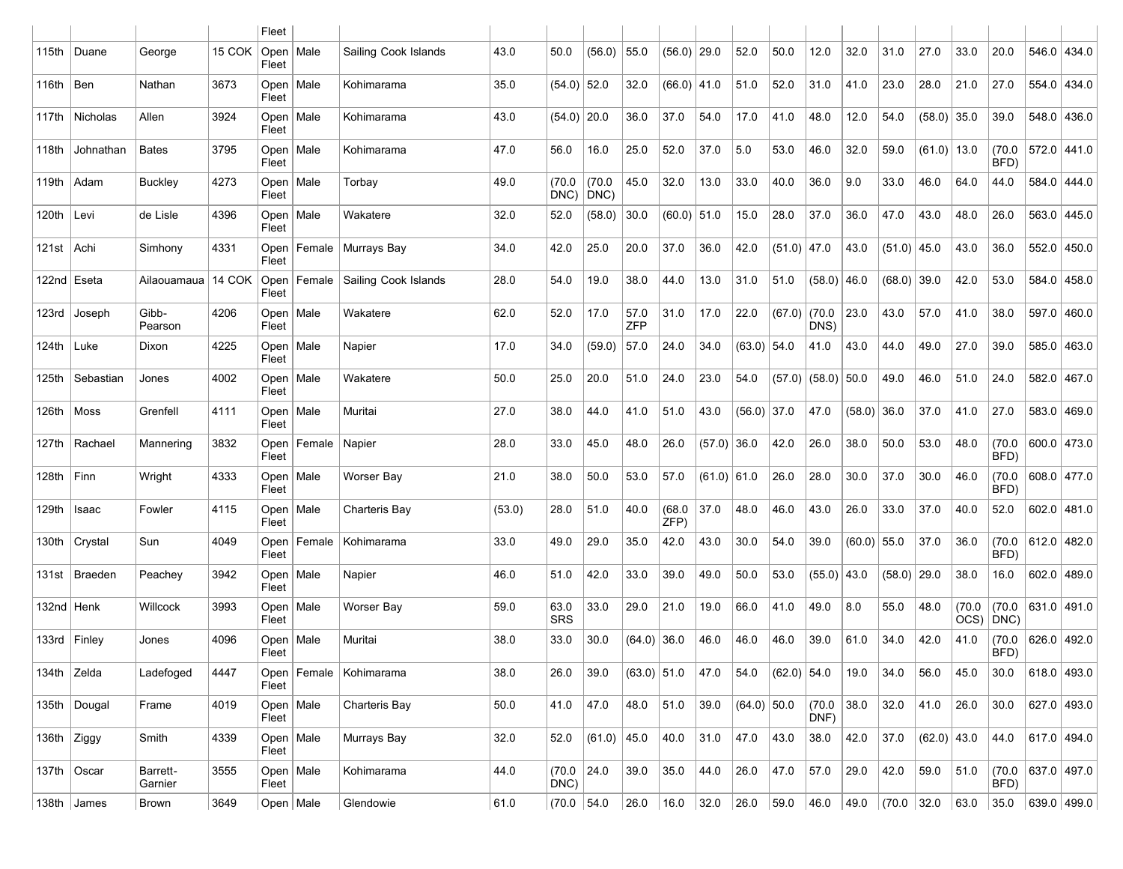|              |                     |                     |        | Fleet                |        |                      |        |                    |                |                    |               |               |               |        |                      |        |                       |               |                |                |               |             |
|--------------|---------------------|---------------------|--------|----------------------|--------|----------------------|--------|--------------------|----------------|--------------------|---------------|---------------|---------------|--------|----------------------|--------|-----------------------|---------------|----------------|----------------|---------------|-------------|
| 115th        | Duane               | George              | 15 COK | Open<br>Fleet        | Male   | Sailing Cook Islands | 43.0   | 50.0               | (56.0)         | 55.0               | $(56.0)$ 29.0 |               | 52.0          | 50.0   | 12.0                 | 32.0   | 31.0                  | 27.0          | 33.0           | 20.0           | 546.0 434.0   |             |
| 116th $ Ben$ |                     | Nathan              | 3673   | Open<br>Fleet        | Male   | Kohimarama           | 35.0   | $(54.0)$ 52.0      |                | 32.0               | $(66.0)$ 41.0 |               | 51.0          | 52.0   | 31.0                 | 41.0   | 23.0                  | 28.0          | 21.0           | 27.0           | 554.0 434.0   |             |
|              | 117th   Nicholas    | Allen               | 3924   | Open<br>Fleet        | Male   | Kohimarama           | 43.0   | $(54.0)$ 20.0      |                | 36.0               | 37.0          | 54.0          | 17.0          | 41.0   | 48.0                 | 12.0   | 54.0                  | (58.0)        | 35.0           | 39.0           | 548.0 436.0   |             |
| 118th        | Johnathan           | <b>Bates</b>        | 3795   | Open<br>Fleet        | Male   | Kohimarama           | 47.0   | 56.0               | 16.0           | 25.0               | 52.0          | 37.0          | 5.0           | 53.0   | 46.0                 | 32.0   | 59.0                  | $(61.0)$ 13.0 |                | (70.0)<br>BFD) | 572.0 441.0   |             |
| 119th        | Adam                | <b>Buckley</b>      | 4273   | Open<br>Fleet        | Male   | Torbay               | 49.0   | (70.0)<br>DNC)     | (70.0)<br>DNC) | 45.0               | 32.0          | 13.0          | 33.0          | 40.0   | 36.0                 | 9.0    | 33.0                  | 46.0          | 64.0           | 44.0           | 584.0 444.0   |             |
| 120th        | Levi                | de Lisle            | 4396   | Open<br>Fleet        | Male   | Wakatere             | 32.0   | 52.0               | (58.0)         | 30.0               | $(60.0)$ 51.0 |               | 15.0          | 28.0   | 37.0                 | 36.0   | 47.0                  | 43.0          | 48.0           | 26.0           | 563.0 445.0   |             |
| 121st   Achi |                     | Simhony             | 4331   | Open<br>Fleet        |        | Female   Murrays Bay | 34.0   | 42.0               | 25.0           | 20.0               | 37.0          | 36.0          | 42.0          | (51.0) | 47.0                 | 43.0   | (51.0)                | 45.0          | 43.0           | 36.0           | 552.0 450.0   |             |
| 122nd Eseta  |                     | Ailaouamaua         | 14 COK | Open<br>Fleet        | Female | Sailing Cook Islands | 28.0   | 54.0               | 19.0           | 38.0               | 44.0          | 13.0          | 31.0          | 51.0   | $(58.0)$ 46.0        |        | $(68.0)$ 39.0         |               | 42.0           | 53.0           | 584.0 458.0   |             |
| 123rd        | Joseph              | Gibb-<br>Pearson    | 4206   | Open<br>Fleet        | Male   | Wakatere             | 62.0   | 52.0               | 17.0           | 57.0<br><b>ZFP</b> | 31.0          | 17.0          | 22.0          | (67.0) | (70.0)<br>DNS)       | 23.0   | 43.0                  | 57.0          | 41.0           | 38.0           | 597.0 460.0   |             |
| 124th        | Luke                | Dixon               | 4225   | Open<br>Fleet        | Male   | Napier               | 17.0   | 34.0               | (59.0)         | 57.0               | 24.0          | 34.0          | $(63.0)$ 54.0 |        | 41.0                 | 43.0   | 44.0                  | 49.0          | 27.0           | 39.0           | 585.0 463.0   |             |
| 125th        | Sebastian           | Jones               | 4002   | Open<br>Fleet        | Male   | Wakatere             | 50.0   | 25.0               | 20.0           | 51.0               | 24.0          | 23.0          | 54.0          |        | $(57.0)$ (58.0) 50.0 |        | 49.0                  | 46.0          | 51.0           | 24.0           | 582.0 467.0   |             |
| 126th        | Moss                | Grenfell            | 4111   | Open<br>Fleet        | Male   | Muritai              | 27.0   | 38.0               | 44.0           | 41.0               | 51.0          | 43.0          | $(56.0)$ 37.0 |        | 47.0                 | (58.0) | 36.0                  | 37.0          | 41.0           | 27.0           | 583.0 469.0   |             |
| 127th        | Rachael             | Mannering           | 3832   | Open<br>Fleet        | Female | Napier               | 28.0   | 33.0               | 45.0           | 48.0               | 26.0          | (57.0)        | 36.0          | 42.0   | 26.0                 | 38.0   | 50.0                  | 53.0          | 48.0           | (70.0)<br>BFD) | 600.0 473.0   |             |
| 128th        | Finn                | Wright              | 4333   | Open<br>Fleet        | Male   | Worser Bay           | 21.0   | 38.0               | 50.0           | 53.0               | 57.0          | $(61.0)$ 61.0 |               | 26.0   | 28.0                 | 30.0   | 37.0                  | 30.0          | 46.0           | (70.0)<br>BFD) | 608.0 477.0   |             |
| 129th        | ∣ Isaac             | Fowler              | 4115   | Open<br>Fleet        | Male   | Charteris Bay        | (53.0) | 28.0               | 51.0           | 40.0               | (68.0)<br>ZFP | 37.0          | 48.0          | 46.0   | 43.0                 | 26.0   | 33.0                  | 37.0          | 40.0           | 52.0           | 602.0   481.0 |             |
| 130th        | Crystal             | Sun                 | 4049   | Open<br>Fleet        | Female | Kohimarama           | 33.0   | 49.0               | 29.0           | 35.0               | 42.0          | 43.0          | 30.0          | 54.0   | 39.0                 | (60.0) | 55.0                  | 37.0          | 36.0           | (70.0)<br>BFD) | 612.0 482.0   |             |
|              | 131st   Braeden     | Peachey             | 3942   | Open<br>Fleet        | Male   | Napier               | 46.0   | 51.0               | 42.0           | 33.0               | 39.0          | 49.0          | 50.0          | 53.0   | $(55.0)$ 43.0        |        | $(58.0)$ 29.0         |               | 38.0           | 16.0           | 602.0 489.0   |             |
| 132nd   Henk |                     | Willcock            | 3993   | Open<br>Fleet        | Male   | Worser Bay           | 59.0   | 63.0<br><b>SRS</b> | 33.0           | 29.0               | 21.0          | 19.0          | 66.0          | 41.0   | 49.0                 | 8.0    | 55.0                  | 48.0          | (70.0)<br>OCS) | (70.0)<br>DNC) | 631.0 491.0   |             |
|              | 133rd   Finley      | Jones               | 4096   | Open<br>Fleet        | Male   | Muritai              | 38.0   | 33.0               | 30.0           | (64.0)             | 36.0          | 46.0          | 46.0          | 46.0   | 39.0                 | 61.0   | 34.0                  | 42.0          | 41.0           | (70.0)<br>BFD) | 626.0 492.0   |             |
| 134th Zelda  |                     | Ladefoged           | 4447   | Open<br>Fleet        |        | Female   Kohimarama  | 38.0   | 26.0               | 39.0           | $(63.0)$ 51.0      |               | 47.0          | 54.0          | (62.0) | 54.0                 | 19.0   | 34.0                  | 56.0          | 45.0           | 30.0           | 618.0 493.0   |             |
|              | 135th   Dougal      | Frame               | 4019   | Open   Male<br>Fleet |        | Charteris Bay        | 50.0   | 41.0               | 47.0           | 48.0               | 51.0          | 39.0          | $(64.0)$ 50.0 |        | (70.0)<br>DNF)       | 38.0   | 32.0                  | 41.0          | 26.0           | 30.0           | 627.0 493.0   |             |
| 136th Ziggy  |                     | Smith               | 4339   | Open   Male<br>Fleet |        | Murrays Bay          | 32.0   | 52.0               | (61.0)         | 45.0               | 40.0          | 31.0          | 47.0          | 43.0   | 38.0                 | 42.0   | 37.0                  | $(62.0)$ 43.0 |                | 44.0           |               | 617.0 494.0 |
|              | 137th   Oscar       | Barrett-<br>Garnier | 3555   | Open   Male<br>Fleet |        | Kohimarama           | 44.0   | (70.0)<br>DNC)     | 24.0           | 39.0               | 35.0          | 44.0          | 26.0          | 47.0   | 57.0                 | 29.0   | 42.0                  | 59.0          | 51.0           | (70.0)<br>BFD) | 637.0 497.0   |             |
|              | 138th $\vert$ James | Brown               | 3649   | Open   Male          |        | Glendowie            | 61.0   | (70.0   54.0       |                | 26.0               | $16.0$ 32.0   |               | 26.0          | 59.0   | 46.0                 | 49.0   | $(70.0 \ 32.0 \ 63.0$ |               |                | 35.0           | 639.0 499.0   |             |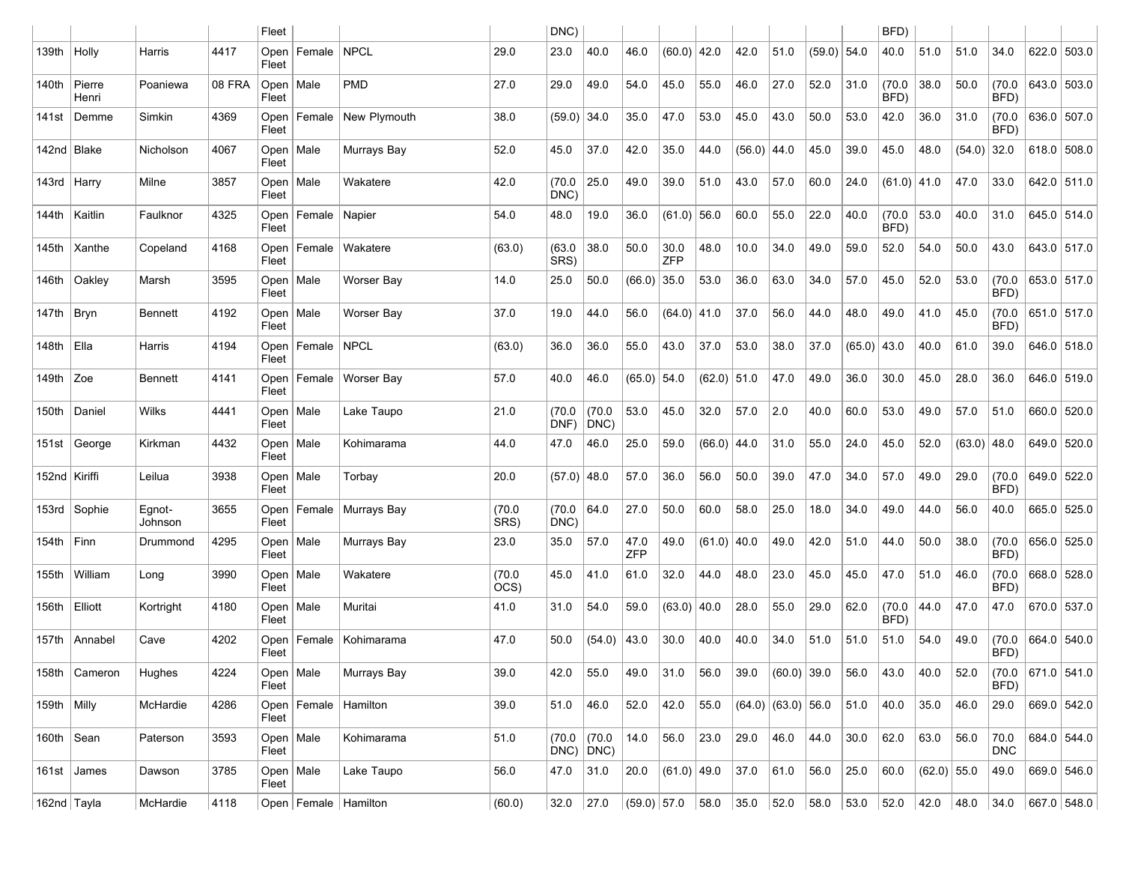|                 |                     |                   |        | Fleet                |               |                          |                | DNC)                      |                |               |                    |               |               |                    |               |                | BFD)           |               |        |                    |               |             |
|-----------------|---------------------|-------------------|--------|----------------------|---------------|--------------------------|----------------|---------------------------|----------------|---------------|--------------------|---------------|---------------|--------------------|---------------|----------------|----------------|---------------|--------|--------------------|---------------|-------------|
| 139th           | Holly               | Harris            | 4417   | Open<br>Fleet        | Female        | NPCL                     | 29.0           | 23.0                      | 40.0           | 46.0          | $(60.0)$ 42.0      |               | 42.0          | 51.0               | $(59.0)$ 54.0 |                | 40.0           | 51.0          | 51.0   | 34.0               | 622.0 503.0   |             |
| 140th           | $ $ Pierre<br>Henri | Poaniewa          | 08 FRA | Open<br>Fleet        | Male          | <b>PMD</b>               | 27.0           | 29.0                      | 49.0           | 54.0          | 45.0               | 55.0          | 46.0          | 27.0               | 52.0          | 31.0           | (70.0)<br>BFD) | 38.0          | 50.0   | (70.0)<br>BFD)     | 643.0 503.0   |             |
| 141st           | Demme               | Simkin            | 4369   | Open<br>Fleet        | Female        | New Plymouth             | 38.0           | (59.0)                    | 34.0           | 35.0          | 47.0               | 53.0          | 45.0          | 43.0               | 50.0          | 53.0           | 42.0           | 36.0          | 31.0   | (70.0)<br>BFD)     | 636.0 507.0   |             |
| 142nd   Blake   |                     | Nicholson         | 4067   | Open<br>Fleet        | Male          | Murrays Bay              | 52.0           | 45.0                      | 37.0           | 42.0          | 35.0               | 44.0          | $(56.0)$ 44.0 |                    | 45.0          | 39.0           | 45.0           | 48.0          | (54.0) | 32.0               | $618.0$ 508.0 |             |
| 143rd   Harry   |                     | Milne             | 3857   | Open<br>Fleet        | Male          | Wakatere                 | 42.0           | (70.0)<br>DNC)            | 25.0           | 49.0          | 39.0               | 51.0          | 43.0          | 57.0               | 60.0          | 24.0           | $(61.0)$ 41.0  |               | 47.0   | 33.0               | 642.0 511.0   |             |
| 144th           | Kaitlin             | Faulknor          | 4325   | Open<br>Fleet        | Female        | Napier                   | 54.0           | 48.0                      | 19.0           | 36.0          | (61.0)             | 56.0          | 60.0          | 55.0               | 22.0          | 40.0           | (70.0)<br>BFD) | 53.0          | 40.0   | 31.0               | 645.0 514.0   |             |
| 145th           | Xanthe              | Copeland          | 4168   | Open<br>Fleet        | Female        | Wakatere                 | (63.0)         | (63.0)<br>SRS)            | 38.0           | 50.0          | 30.0<br><b>ZFP</b> | 48.0          | 10.0          | 34.0               | 49.0          | 59.0           | 52.0           | 54.0          | 50.0   | 43.0               | 643.0 517.0   |             |
| 146th           | $\vert$ Oakley      | Marsh             | 3595   | Open<br>Fleet        | Male          | Worser Bay               | 14.0           | 25.0                      | 50.0           | $(66.0)$ 35.0 |                    | 53.0          | 36.0          | 63.0               | 34.0          | 57.0           | 45.0           | 52.0          | 53.0   | (70.0)<br>BFD)     | 653.0 517.0   |             |
| 147th $ Bryn $  |                     | <b>Bennett</b>    | 4192   | Open<br>Fleet        | Male          | Worser Bay               | 37.0           | 19.0                      | 44.0           | 56.0          | $(64.0)$ 41.0      |               | 37.0          | 56.0               | 44.0          | 48.0           | 49.0           | 41.0          | 45.0   | (70.0)<br>BFD)     | 651.0 517.0   |             |
| 148th           | $ E$ lla            | Harris            | 4194   | Open<br>Fleet        | Female   NPCL |                          | (63.0)         | 36.0                      | 36.0           | 55.0          | 43.0               | 37.0          | 53.0          | 38.0               | 37.0          | (65.0)         | 43.0           | 40.0          | 61.0   | 39.0               |               | 646.0 518.0 |
| 149th $ Zoe$    |                     | <b>Bennett</b>    | 4141   | Open<br>Fleet        |               | Female   Worser Bay      | 57.0           | 40.0                      | 46.0           | $(65.0)$ 54.0 |                    | $(62.0)$ 51.0 |               | 47.0               | 49.0          | 36.0           | 30.0           | 45.0          | 28.0   | 36.0               | 646.0 519.0   |             |
| 150th           | Daniel              | Wilks             | 4441   | Open<br>Fleet        | Male          | Lake Taupo               | 21.0           | (70.0<br>DNF)             | (70.0)<br>DNC) | 53.0          | 45.0               | 32.0          | 57.0          | 2.0                | 40.0          | 60.0           | 53.0           | 49.0          | 57.0   | 51.0               | 660.0 520.0   |             |
|                 | 151st George        | Kirkman           | 4432   | Open<br>Fleet        | Male          | Kohimarama               | 44.0           | 47.0                      | 46.0           | 25.0          | 59.0               | (66.0)        | 44.0          | 31.0               | 55.0          | 24.0           | 45.0           | 52.0          | (63.0) | 48.0               | 649.0 520.0   |             |
| 152nd   Kiriffi |                     | Leilua            | 3938   | Open<br>Fleet        | Male          | Torbay                   | 20.0           | $(57.0)$ 48.0             |                | 57.0          | 36.0               | 56.0          | 50.0          | 39.0               | 47.0          | 34.0           | 57.0           | 49.0          | 29.0   | (70.0)<br>BFD)     | 649.0 522.0   |             |
|                 | 153rd Sophie        | Egnot-<br>Johnson | 3655   | Open<br>Fleet        |               | Female   Murrays Bay     | (70.0)<br>SRS) | (70.0)<br>DNC)            | 64.0           | 27.0          | 50.0               | 60.0          | 58.0          | 25.0               | 18.0          | 34.0           | 49.0           | 44.0          | 56.0   | 40.0               | 665.0 525.0   |             |
| 154th           | $ F$ inn            | Drummond          | 4295   | Open<br>Fleet        | Male          | Murrays Bay              | 23.0           | 35.0                      | 57.0           | 47.0<br>ZFP   | 49.0               | (61.0)        | 40.0          | 49.0               | 42.0          | 51.0           | 44.0           | 50.0          | 38.0   | (70.0)<br>BFD)     | 656.0 525.0   |             |
| 155th           | William             | Long              | 3990   | Open<br>Fleet        | Male          | Wakatere                 | (70.0)<br>OCS) | 45.0                      | 41.0           | 61.0          | 32.0               | 44.0          | 48.0          | 23.0               | 45.0          | 45.0           | 47.0           | 51.0          | 46.0   | (70.0)<br>BFD)     | 668.0 528.0   |             |
| 156th   Elliott |                     | Kortright         | 4180   | Open<br>Fleet        | Male          | Muritai                  | 41.0           | 31.0                      | 54.0           | 59.0          | $(63.0)$ 40.0      |               | 28.0          | 55.0               | 29.0          | 62.0           | (70.0)<br>BFD) | 44.0          | 47.0   | 47.0               | 670.0 537.0   |             |
| 157th           | Annabel             | Cave              | 4202   | Open<br>Fleet        | Female        | Kohimarama               | 47.0           | 50.0                      | (54.0)         | 43.0          | 30.0               | 40.0          | 40.0          | 34.0               | 51.0          | 51.0           | 51.0           | 54.0          | 49.0   | (70.0)<br>BFD)     | 664.0 540.0   |             |
|                 | 158th   Cameron     | Hughes            | 4224   | Open   Male<br>Fleet |               | Murrays Bay              | 39.0           | 42.0                      | 55.0           | 49.0          | 31.0               | 56.0          | 39.0          | $(60.0)$ 39.0      |               | 56.0           | 43.0           | 40.0          | 52.0   | (70.0)<br>BFD)     | 671.0   541.0 |             |
| 159th   Milly   |                     | McHardie          | 4286   | Fleet                |               | Open   Female   Hamilton | 39.0           | 51.0                      | 46.0           | 52.0          | 42.0               | 55.0          |               | (64.0) (63.0) 56.0 |               | 51.0           | 40.0           | 35.0          | 46.0   | 29.0               |               | 669.0 542.0 |
| 160th Sean      |                     | Paterson          | 3593   | Open   Male<br>Fleet |               | Kohimarama               | 51.0           | (70.0)<br>$DNC$ ) $DNC$ ) | (70.0)         | 14.0          | 56.0               | 23.0          | 29.0          | 46.0               | 44.0          | 30.0           | 62.0           | 63.0          | 56.0   | 70.0<br><b>DNC</b> |               | 684.0 544.0 |
|                 | 161st James         | Dawson            | 3785   | Open   Male<br>Fleet |               | Lake Taupo               | 56.0           | 47.0                      | 31.0           | 20.0          | $(61.0)$ 49.0      |               | 37.0          | 61.0               | 56.0          | 25.0           | 60.0           | $(62.0)$ 55.0 |        | 49.0               |               | 669.0 546.0 |
| 162nd Tayla     |                     | McHardie          | 4118   |                      |               | Open   Female   Hamilton | (60.0)         | 32.0                      | 27.0           |               | (59.0) 57.0 58.0   |               | $35.0$ 52.0   |                    |               | 58.0 53.0 52.0 |                | $ 42.0 $ 48.0 |        | 34.0               |               | 667.0 548.0 |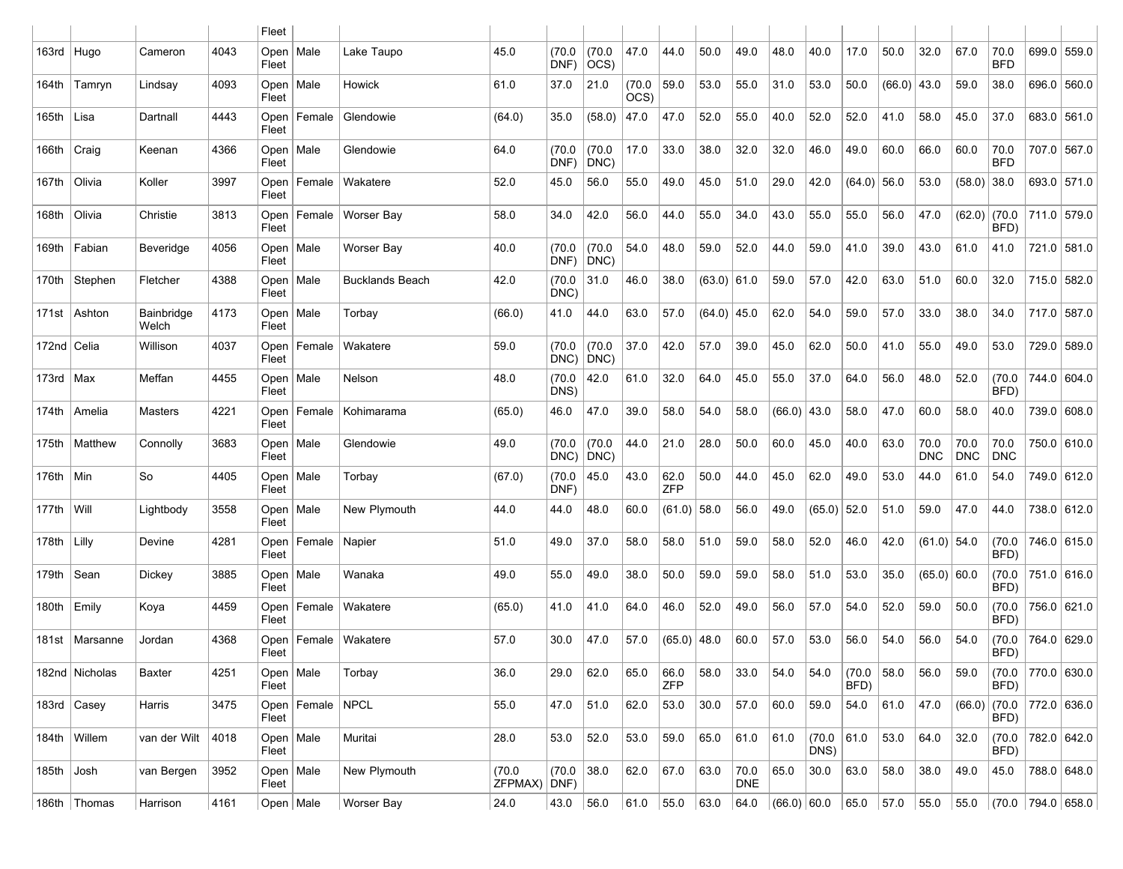|               |                  |                     |      | Fleet                |                      |                        |                         |                |                         |                |                    |               |                    |               |                      |                |        |                    |                    |                    |                        |             |
|---------------|------------------|---------------------|------|----------------------|----------------------|------------------------|-------------------------|----------------|-------------------------|----------------|--------------------|---------------|--------------------|---------------|----------------------|----------------|--------|--------------------|--------------------|--------------------|------------------------|-------------|
| 163rd   Hugo  |                  | Cameron             | 4043 | Open   Male<br>Fleet |                      | Lake Taupo             | 45.0                    | (70.0)<br>DNF) | (70.0)<br>$ OCS\rangle$ | 47.0           | 44.0               | 50.0          | 49.0               | 48.0          | 40.0                 | 17.0           | 50.0   | 32.0               | 67.0               | 70.0<br><b>BFD</b> |                        | 699.0 559.0 |
| 164th         | Tamryn           | Lindsay             | 4093 | Open   Male<br>Fleet |                      | Howick                 | 61.0                    | 37.0           | 21.0                    | (70.0)<br>OCS) | 59.0               | 53.0          | 55.0               | 31.0          | 53.0                 | 50.0           | (66.0) | 43.0               | 59.0               | 38.0               |                        | 696.0 560.0 |
| 165th Lisa    |                  | Dartnall            | 4443 | Open<br>Fleet        | Female               | Glendowie              | (64.0)                  | 35.0           | (58.0)                  | 47.0           | 47.0               | 52.0          | 55.0               | 40.0          | 52.0                 | 52.0           | 41.0   | 58.0               | 45.0               | 37.0               |                        | 683.0 561.0 |
| 166th   Craig |                  | Keenan              | 4366 | Open<br>Fleet        | Male                 | Glendowie              | 64.0                    | (70.0)<br>DNF) | (70.0)<br>$ DNC\rangle$ | 17.0           | 33.0               | 38.0          | 32.0               | 32.0          | 46.0                 | 49.0           | 60.0   | 66.0               | 60.0               | 70.0<br><b>BFD</b> |                        | 707.0 567.0 |
| 167th         | Olivia           | Koller              | 3997 | Open<br>Fleet        | Female               | Wakatere               | 52.0                    | 45.0           | 56.0                    | 55.0           | 49.0               | 45.0          | 51.0               | 29.0          | 42.0                 | $(64.0)$ 56.0  |        | 53.0               | (58.0)             | 38.0               |                        | 693.0 571.0 |
| 168th         | Olivia           | Christie            | 3813 | Open<br>Fleet        | Female               | Worser Bay             | 58.0                    | 34.0           | 42.0                    | 56.0           | 44.0               | 55.0          | 34.0               | 43.0          | 55.0                 | 55.0           | 56.0   | 47.0               | (62.0)             | (70.0)<br>BFD)     | 711.0 579.0            |             |
| 169th         | Fabian           | Beveridge           | 4056 | Open   Male<br>Fleet |                      | Worser Bay             | 40.0                    | (70.0)<br>DNF) | (70.0)<br>$ DNC\rangle$ | 54.0           | 48.0               | 59.0          | 52.0               | 44.0          | 59.0                 | 41.0           | 39.0   | 43.0               | 61.0               | 41.0               |                        | 721.0 581.0 |
| 170th         | Stephen          | Fletcher            | 4388 | Open   Male<br>Fleet |                      | <b>Bucklands Beach</b> | 42.0                    | (70.0)<br>DNC) | 31.0                    | 46.0           | 38.0               | $(63.0)$ 61.0 |                    | 59.0          | 57.0                 | 42.0           | 63.0   | 51.0               | 60.0               | 32.0               | 715.0 582.0            |             |
|               | 171st   Ashton   | Bainbridge<br>Welch | 4173 | Open $ $<br>Fleet    | Male                 | Torbay                 | (66.0)                  | 41.0           | 44.0                    | 63.0           | 57.0               | $(64.0)$ 45.0 |                    | 62.0          | 54.0                 | 59.0           | 57.0   | 33.0               | 38.0               | 34.0               | 717.0 587.0            |             |
| 172nd   Celia |                  | Willison            | 4037 | Open<br>Fleet        | Female               | Wakatere               | 59.0                    | (70.0)<br>DNC) | (70.0)<br>$ DNC\rangle$ | 37.0           | 42.0               | 57.0          | 39.0               | 45.0          | 62.0                 | 50.0           | 41.0   | 55.0               | 49.0               | 53.0               |                        | 729.0 589.0 |
| 173rd $ Max$  |                  | Meffan              | 4455 | Open<br>Fleet        | Male                 | Nelson                 | 48.0                    | (70.0)<br>DNS) | 42.0                    | 61.0           | 32.0               | 64.0          | 45.0               | 55.0          | 37.0                 | 64.0           | 56.0   | 48.0               | 52.0               | (70.0)<br>BFD)     |                        | 744.0 604.0 |
|               | 174th   Amelia   | Masters             | 4221 | Open<br>Fleet        | Female               | Kohimarama             | (65.0)                  | 46.0           | 47.0                    | 39.0           | 58.0               | 54.0          | 58.0               | $(66.0)$ 43.0 |                      | 58.0           | 47.0   | 60.0               | 58.0               | 40.0               |                        | 739.0 608.0 |
| 175th         | Matthew          | Connolly            | 3683 | Open   Male<br>Fleet |                      | Glendowie              | 49.0                    | (70.0)<br>DNC) | (70.0)<br>$ DNC\rangle$ | 44.0           | 21.0               | 28.0          | 50.0               | 60.0          | 45.0                 | 40.0           | 63.0   | 70.0<br><b>DNC</b> | 70.0<br><b>DNC</b> | 70.0<br><b>DNC</b> |                        | 750.0 610.0 |
| $176th$   Min |                  | So                  | 4405 | Open   Male<br>Fleet |                      | Torbay                 | (67.0)                  | (70.0)<br>DNF) | 45.0                    | 43.0           | 62.0<br><b>ZFP</b> | 50.0          | 44.0               | 45.0          | 62.0                 | 49.0           | 53.0   | 44.0               | 61.0               | 54.0               |                        | 749.0 612.0 |
| 177th         | $ $ Will         | Lightbody           | 3558 | Open<br>Fleet        | Male                 | New Plymouth           | 44.0                    | 44.0           | 48.0                    | 60.0           | $(61.0)$ 58.0      |               | 56.0               | 49.0          | $(65.0)$ 52.0        |                | 51.0   | 59.0               | 47.0               | 44.0               |                        | 738.0 612.0 |
| 178th $ L  $  |                  | Devine              | 4281 | Open<br>Fleet        | Female               | Napier                 | 51.0                    | 49.0           | 37.0                    | 58.0           | 58.0               | 51.0          | 59.0               | 58.0          | 52.0                 | 46.0           | 42.0   | $(61.0)$ 54.0      |                    | (70.0)<br>BFD)     |                        | 746.0 615.0 |
| 179th         | Sean             | Dickey              | 3885 | Open<br>Fleet        | Male                 | Wanaka                 | 49.0                    | 55.0           | 49.0                    | 38.0           | 50.0               | 59.0          | 59.0               | 58.0          | 51.0                 | 53.0           | 35.0   | $(65.0)$ 60.0      |                    | (70.0)<br>BFD)     |                        | 751.0 616.0 |
|               | $180th$   Emily  | Koya                | 4459 | Open<br>Fleet        | Female               | Wakatere               | (65.0)                  | 41.0           | 41.0                    | 64.0           | 46.0               | 52.0          | 49.0               | 56.0          | 57.0                 | 54.0           | 52.0   | 59.0               | 50.0               | (70.0)<br>BFD)     |                        | 756.0 621.0 |
|               | 181st   Marsanne | Jordan              | 4368 | Fleet                | Open   Female        | Wakatere               | 57.0                    | 30.0           | 47.0                    | 57.0           | $(65.0)$ 48.0      |               | 60.0               | 57.0          | 53.0                 | 56.0           | 54.0   | 56.0               | 54.0               | (70.0)<br>BFD)     |                        | 764.0 629.0 |
|               | 182nd Nicholas   | Baxter              | 4251 | Open   Male<br>Fleet |                      | Torbay                 | 36.0                    | 29.0           | 62.0                    | 65.0           | 66.0<br><b>ZFP</b> | 58.0          | 33.0               | 54.0          | 54.0                 | (70.0)<br>BFD) | 58.0   | 56.0               | 59.0               | (70.0)<br>BFD)     |                        | 770.0 630.0 |
|               | 183rd   Casey    | Harris              | 3475 | Fleet                | Open   Female   NPCL |                        | 55.0                    | 47.0           | 51.0                    | 62.0           | 53.0               | $30.0\,$      | 57.0               | 60.0          | 59.0                 | 54.0           | 61.0   | 47.0               | $(66.0)$ (70.0     | BFD)               | 772.0 636.0            |             |
|               | 184th Willem     | van der Wilt        | 4018 | Open   Male<br>Fleet |                      | Muritai                | 28.0                    | 53.0           | 52.0                    | 53.0           | 59.0               | 65.0          | 61.0               | 61.0          | (70.0   61.0<br>DNS) |                | 53.0   | 64.0               | 32.0               | (70.0)<br>BFD)     |                        | 782.0 642.0 |
| $185th$ Josh  |                  | van Bergen          | 3952 | Open   Male<br>Fleet |                      | New Plymouth           | (70.0)<br>$ZFPMAX$ DNF) | (70.0)         | 38.0                    | 62.0           | 67.0               | 63.0          | 70.0<br><b>DNE</b> | 65.0          | 30.0                 | 63.0           | 58.0   | 38.0               | 49.0               | 45.0               |                        | 788.0 648.0 |
|               | 186th   Thomas   | Harrison            | 4161 | Open   Male          |                      | Worser Bay             | 24.0                    | 43.0 $ 56.0$   |                         | 61.0           | 55.0 63.0          |               | 64.0               | (66.0) 60.0   |                      | 65.0 57.0      |        | 55.0 55.0          |                    |                    | (70.0   794.0   658.0) |             |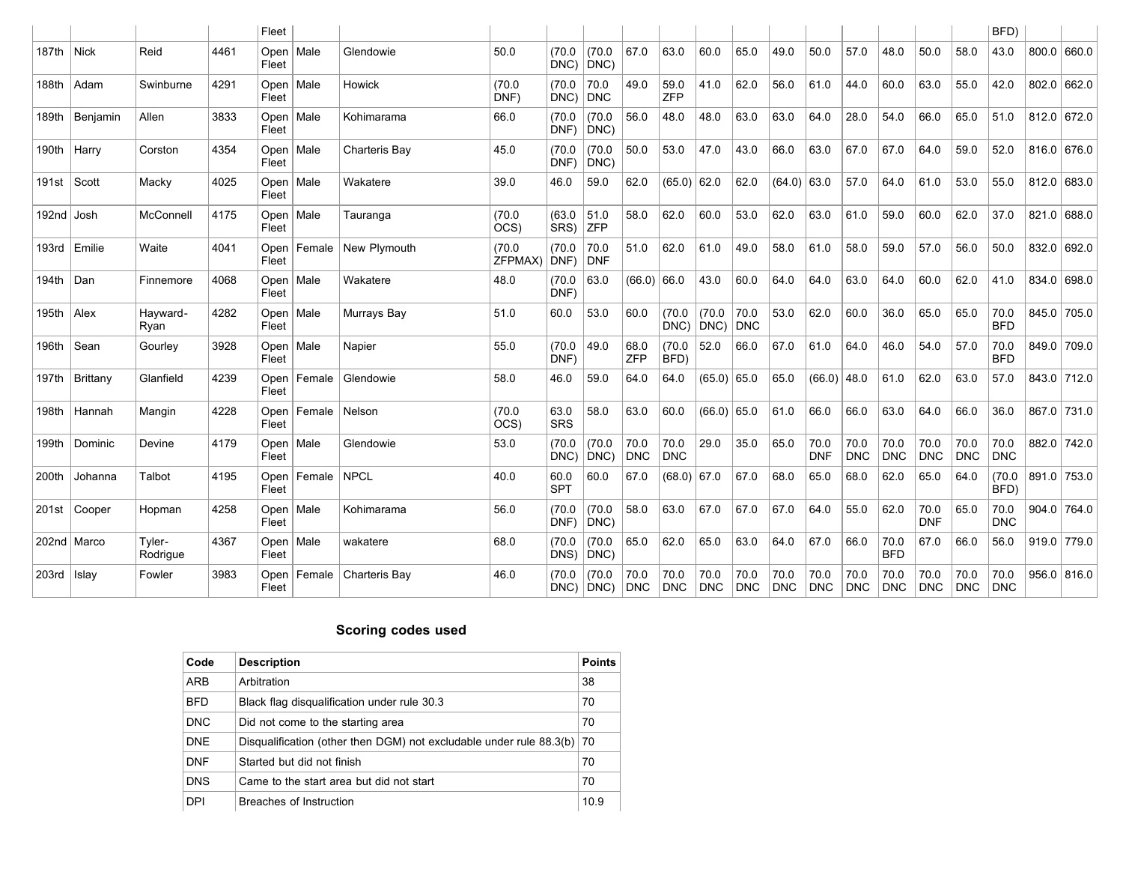|                            |               |                    |      | Fleet                |             |               |                   |                    |                         |                    |                    |                    |                    |                    |                    |                    |                    |                    |                    | BFD)               |       |               |
|----------------------------|---------------|--------------------|------|----------------------|-------------|---------------|-------------------|--------------------|-------------------------|--------------------|--------------------|--------------------|--------------------|--------------------|--------------------|--------------------|--------------------|--------------------|--------------------|--------------------|-------|---------------|
| 187th Nick                 |               | Reid               | 4461 | Fleet                | Open   Male | Glendowie     | 50.0              | (70.0)<br>DNC)     | (70.0)<br>$ DNC\rangle$ | 67.0               | 63.0               | 60.0               | 65.0               | 49.0               | 50.0               | 57.0               | 48.0               | 50.0               | 58.0               | 43.0               |       | 800.0   660.0 |
| 188th                      | Adam          | Swinburne          | 4291 | Fleet                | Open   Male | Howick        | (70.0)<br>DNF)    | (70.0)<br>DNC)     | 70.0<br>DNC             | 49.0               | 59.0<br>ZFP        | 41.0               | 62.0               | 56.0               | 61.0               | 44.0               | 60.0               | 63.0               | 55.0               | 42.0               | 802.0 | 662.0         |
| 189th                      | Benjamin      | Allen              | 3833 | Open  <br>Fleet      | Male        | Kohimarama    | 66.0              | (70.0<br>DNF)      | (70.0)<br>$ DNC\rangle$ | 56.0               | 48.0               | 48.0               | 63.0               | 63.0               | 64.0               | 28.0               | 54.0               | 66.0               | 65.0               | 51.0               |       | 812.0 672.0   |
| 190th                      | Harry         | Corston            | 4354 | Open<br>Fleet        | Male        | Charteris Bay | 45.0              | (70.0<br>DNF)      | (70.0)<br>DNC)          | 50.0               | 53.0               | 47.0               | 43.0               | 66.0               | 63.0               | 67.0               | 67.0               | 64.0               | 59.0               | 52.0               |       | 816.0 676.0   |
| 191st $\sqrt{\frac{1}{1}}$ |               | Macky              | 4025 | Open<br>Fleet        | Male        | Wakatere      | 39.0              | 46.0               | 59.0                    | 62.0               | (65.0)             | 62.0               | 62.0               | $(64.0)$ 63.0      |                    | 57.0               | 64.0               | 61.0               | 53.0               | 55.0               | 812.0 | 683.0         |
| 192nd Josh                 |               | McConnell          | 4175 | Fleet                | Open   Male | Tauranga      | (70.0)<br>OCS)    | (63.0)<br>SRS)     | 51.0<br><b>ZFP</b>      | 58.0               | 62.0               | 60.0               | 53.0               | 62.0               | 63.0               | 61.0               | 59.0               | 60.0               | 62.0               | 37.0               |       | 821.0 688.0   |
| 193rd                      | Emilie        | Waite              | 4041 | Open<br>Fleet        | Female      | New Plymouth  | (70.0)<br>ZFPMAX) | (70.0<br>DNF)      | 70.0<br>DNF             | 51.0               | 62.0               | 61.0               | 49.0               | 58.0               | 61.0               | 58.0               | 59.0               | 57.0               | 56.0               | 50.0               | 832.0 | 692.0         |
| 194th                      | Dan           | Finnemore          | 4068 | Open $ $<br>Fleet    | Male        | Wakatere      | 48.0              | (70.0)<br>DNF)     | 63.0                    | $(66.0)$ 66.0      |                    | 43.0               | 60.0               | 64.0               | 64.0               | 63.0               | 64.0               | 60.0               | 62.0               | 41.0               | 834.0 | 698.0         |
| 195th $ $ Alex             |               | Hayward-<br>Ryan   | 4282 | Open<br>Fleet        | Male        | Murrays Bay   | 51.0              | 60.0               | 53.0                    | 60.0               | (70.0)<br>DNC)     | (70.0)<br>DNC)     | 70.0<br>DNC        | 53.0               | 62.0               | 60.0               | 36.0               | 65.0               | 65.0               | 70.0<br><b>BFD</b> |       | 845.0 705.0   |
| 196th                      | Sean          | Gourley            | 3928 | Fleet                | Open   Male | Napier        | 55.0              | (70.0)<br>DNF)     | 49.0                    | 68.0<br><b>ZFP</b> | (70.0)<br>BFD)     | 52.0               | 66.0               | 67.0               | 61.0               | 64.0               | 46.0               | 54.0               | 57.0               | 70.0<br><b>BFD</b> |       | 849.0 709.0   |
| 197th                      | Brittany      | Glanfield          | 4239 | Open<br>Fleet        | Female      | Glendowie     | 58.0              | 46.0               | 59.0                    | 64.0               | 64.0               | $(65.0)$ 65.0      |                    | 65.0               | (66.0)             | 48.0               | 61.0               | 62.0               | 63.0               | 57.0               |       | 843.0 712.0   |
| 198th                      | Hannah        | Mangin             | 4228 | Open<br>Fleet        | Female      | Nelson        | (70.0)<br>OCS)    | 63.0<br><b>SRS</b> | 58.0                    | 63.0               | 60.0               | $(66.0)$ 65.0      |                    | 61.0               | 66.0               | 66.0               | 63.0               | 64.0               | 66.0               | 36.0               |       | 867.0 731.0   |
| 199th                      | Dominic       | Devine             | 4179 | Open<br>Fleet        | Male        | Glendowie     | 53.0              | (70.0<br>DNC)      | (70.0)<br>$ DNC\rangle$ | 70.0<br><b>DNC</b> | 70.0<br><b>DNC</b> | 29.0               | 35.0               | 65.0               | 70.0<br><b>DNF</b> | 70.0<br><b>DNC</b> | 70.0<br><b>DNC</b> | 70.0<br><b>DNC</b> | 70.0<br><b>DNC</b> | 70.0<br>DNC        |       | 882.0 742.0   |
| 200th                      | Johanna       | Talbot             | 4195 | Open<br>Fleet        | Female      | NPCL          | 40.0              | 60.0<br><b>SPT</b> | 60.0                    | 67.0               | $(68.0)$ 67.0      |                    | 67.0               | 68.0               | 65.0               | 68.0               | 62.0               | 65.0               | 64.0               | (70.0)<br>BFD)     |       | 891.0 753.0   |
|                            | 201st Cooper  | Hopman             | 4258 | Fleet                | Open   Male | Kohimarama    | 56.0              | (70.0<br>DNF)      | (70.0)<br>DNC)          | 58.0               | 63.0               | 67.0               | 67.0               | 67.0               | 64.0               | 55.0               | 62.0               | 70.0<br><b>DNF</b> | 65.0               | 70.0<br><b>DNC</b> |       | $904.0$ 764.0 |
|                            | 202nd   Marco | Tyler-<br>Rodrigue | 4367 | $Open \mid$<br>Fleet | Male        | wakatere      | 68.0              | (70.0)<br>DNS)     | (70.0)<br>DNC)          | 65.0               | 62.0               | 65.0               | 63.0               | 64.0               | 67.0               | 66.0               | 70.0<br><b>BFD</b> | 67.0               | 66.0               | 56.0               |       | $919.0$ 779.0 |
| $203rd$   Islay            |               | Fowler             | 3983 | Open<br>Fleet        | Female      | Charteris Bay | 46.0              | (70.0              | (70.0)<br>$DNC$ $ DNC$  | 70.0<br><b>DNC</b> | 70.0<br><b>DNC</b> | 70.0<br><b>DNC</b> | 70.0<br><b>DNC</b> | 70.0<br><b>DNC</b> | 70.0<br><b>DNC</b> | 70.0<br><b>DNC</b> | 70.0<br><b>DNC</b> | 70.0<br><b>DNC</b> | 70.0<br><b>DNC</b> | 70.0<br><b>DNC</b> | 956.0 | 816.0         |

### **Scoring codes used**

| Code       | <b>Description</b>                                                    | <b>Points</b> |
|------------|-----------------------------------------------------------------------|---------------|
| ARB        | Arbitration                                                           | 38            |
| <b>BFD</b> | Black flag disqualification under rule 30.3                           | 70            |
| <b>DNC</b> | Did not come to the starting area                                     | 70            |
| <b>DNE</b> | Disqualification (other then DGM) not excludable under rule $88.3(b)$ | 70            |
| <b>DNF</b> | Started but did not finish                                            | 70            |
| <b>DNS</b> | Came to the start area but did not start                              | 70            |
| <b>DPI</b> | Breaches of Instruction                                               | 10.9          |